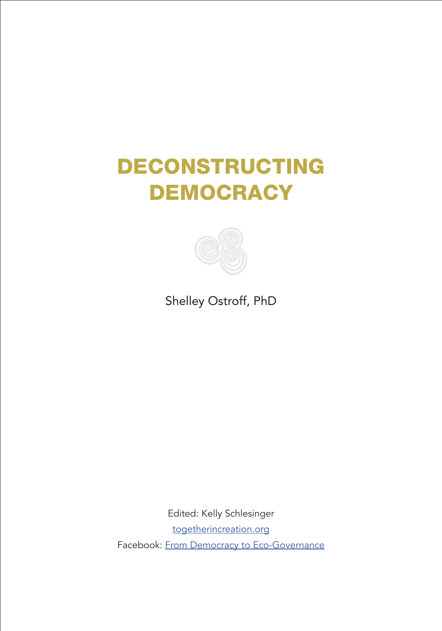# DECONSTRUCTING **DEMOCRACY**



Shelley Ostroff, PhD

Edited: Kelly Schlesinger [togetherincreation.org](https://www.togetherincreation.org/) Facebook: [From Democracy to Eco-Governance](https://www.facebook.com/fromdemocracytoecogovernance)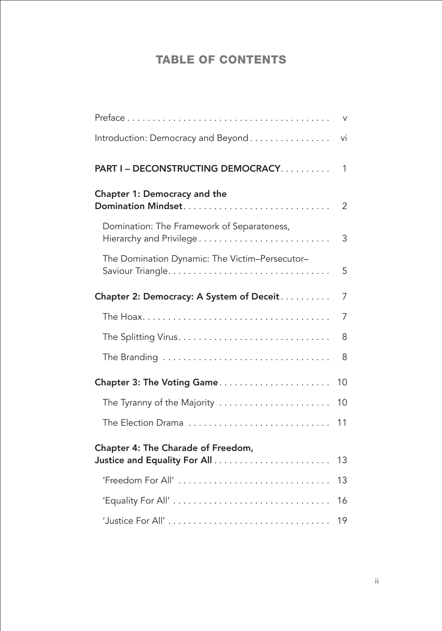### TABLE OF CONTENTS

|                                                                       | $\vee$         |
|-----------------------------------------------------------------------|----------------|
| Introduction: Democracy and Beyond                                    | vi             |
| PART I - DECONSTRUCTING DEMOCRACY                                     | $\mathbf{1}$   |
| Chapter 1: Democracy and the                                          | $\overline{2}$ |
| Domination: The Framework of Separateness,<br>Hierarchy and Privilege | 3              |
| The Domination Dynamic: The Victim-Persecutor-                        | 5              |
| Chapter 2: Democracy: A System of Deceit                              | $\overline{7}$ |
|                                                                       | 7              |
|                                                                       | 8              |
|                                                                       | 8              |
| Chapter 3: The Voting Game                                            | 10             |
| The Tyranny of the Majority                                           | 10             |
| The Election Drama                                                    | 11             |
| Chapter 4: The Charade of Freedom,                                    |                |
|                                                                       | 13             |
| 'Freedom For All'                                                     | 13             |
|                                                                       | 16             |
|                                                                       | 19             |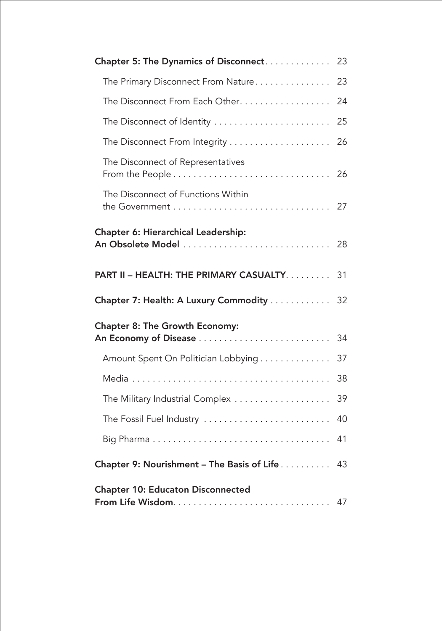| Chapter 5: The Dynamics of Disconnect                    | 23 |
|----------------------------------------------------------|----|
| The Primary Disconnect From Nature                       | 23 |
| The Disconnect From Each Other.                          | 24 |
| The Disconnect of Identity                               | 25 |
| The Disconnect From Integrity                            | 26 |
| The Disconnect of Representatives                        | 26 |
| The Disconnect of Functions Within                       | 27 |
| Chapter 6: Hierarchical Leadership:<br>An Obsolete Model | 28 |
|                                                          |    |
| PART II - HEALTH: THE PRIMARY CASUALTY.                  | 31 |
| Chapter 7: Health: A Luxury Commodity                    | 32 |
| Chapter 8: The Growth Economy:                           |    |
|                                                          | 34 |
| Amount Spent On Politician Lobbying                      | 37 |
|                                                          | 38 |
| The Military Industrial Complex                          | 39 |
| The Fossil Fuel Industry                                 | 40 |
|                                                          | 41 |
| Chapter 9: Nourishment - The Basis of Life               | 43 |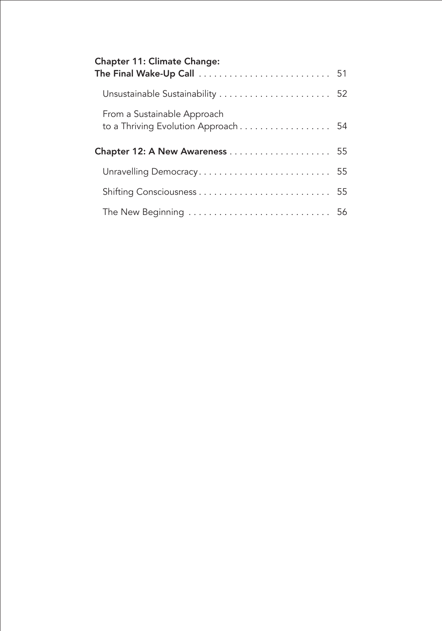| <b>Chapter 11: Climate Change:</b>                                 |  |
|--------------------------------------------------------------------|--|
| Unsustainable Sustainability  52                                   |  |
| From a Sustainable Approach<br>to a Thriving Evolution Approach 54 |  |
|                                                                    |  |
| Unravelling Democracy 55                                           |  |
|                                                                    |  |
|                                                                    |  |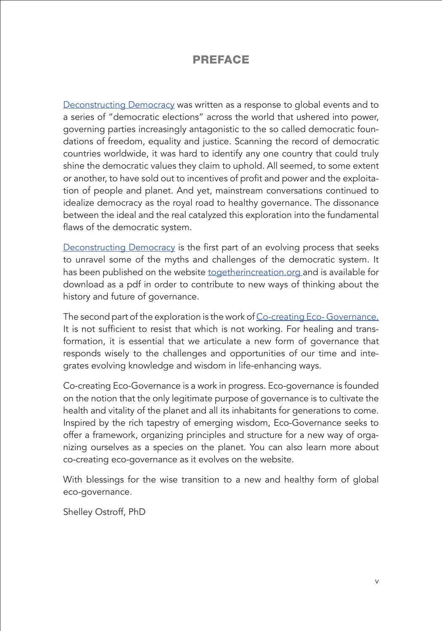#### PREFACE

<span id="page-4-0"></span>[Deconstructing Democracy](https://www.togetherincreation.org/deconstructing-democracy) was written as a response to global events and to a series of "democratic elections" across the world that ushered into power, governing parties increasingly antagonistic to the so called democratic foundations of freedom, equality and justice. Scanning the record of democratic countries worldwide, it was hard to identify any one country that could truly shine the democratic values they claim to uphold. All seemed, to some extent or another, to have sold out to incentives of profit and power and the exploitation of people and planet. And yet, mainstream conversations continued to idealize democracy as the royal road to healthy governance. The dissonance between the ideal and the real catalyzed this exploration into the fundamental flaws of the democratic system.

[Deconstructing Democracy](https://www.togetherincreation.org/deconstructing-democracy) is the first part of an evolving process that seeks to unravel some of the myths and challenges of the democratic system. It has been published on the website [togetherincreation.org](https://www.togetherincreation.org/) and is available for download as a pdf in order to contribute to new ways of thinking about the history and future of governance.

The second part of the exploration is the work of [Co-creating Eco- Governance.](https://www.togetherincreation.org/eco-governance) It is not sufficient to resist that which is not working. For healing and transformation, it is essential that we articulate a new form of governance that responds wisely to the challenges and opportunities of our time and integrates evolving knowledge and wisdom in life-enhancing ways.

Co-creating Eco-Governance is a work in progress. Eco-governance is founded on the notion that the only legitimate purpose of governance is to cultivate the health and vitality of the planet and all its inhabitants for generations to come. Inspired by the rich tapestry of emerging wisdom, Eco-Governance seeks to offer a framework, organizing principles and structure for a new way of organizing ourselves as a species on the planet. You can also learn more about co-creating eco-governance as it evolves on the website.

With blessings for the wise transition to a new and healthy form of global eco-governance.

Shelley Ostroff, PhD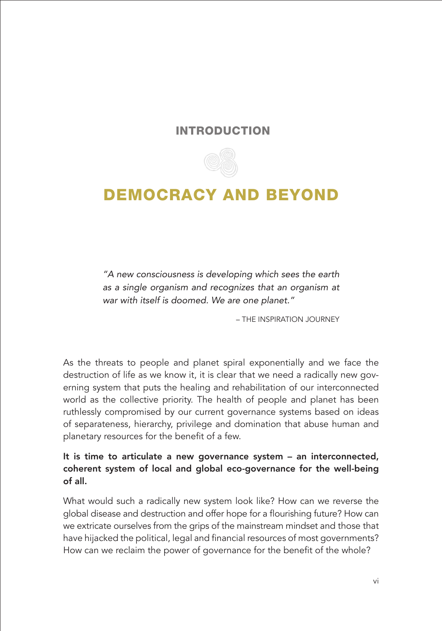#### INTRODUCTION



### <span id="page-5-0"></span>DEMOCRACY AND BEYOND

*"A new consciousness is developing which sees the earth as a single organism and recognizes that an organism at war with itself is doomed. We are one planet."*

– THE INSPIRATION JOURNEY

As the threats to people and planet spiral exponentially and we face the destruction of life as we know it, it is clear that we need a radically new governing system that puts the healing and rehabilitation of our interconnected world as the collective priority. The health of people and planet has been ruthlessly compromised by our current governance systems based on ideas of separateness, hierarchy, privilege and domination that abuse human and planetary resources for the benefit of a few.

It is time to articulate a new governance system – an interconnected, coherent system of local and global eco-governance for the well-being of all.

What would such a radically new system look like? How can we reverse the global disease and destruction and offer hope for a flourishing future? How can we extricate ourselves from the grips of the mainstream mindset and those that have hijacked the political, legal and financial resources of most governments? How can we reclaim the power of governance for the benefit of the whole?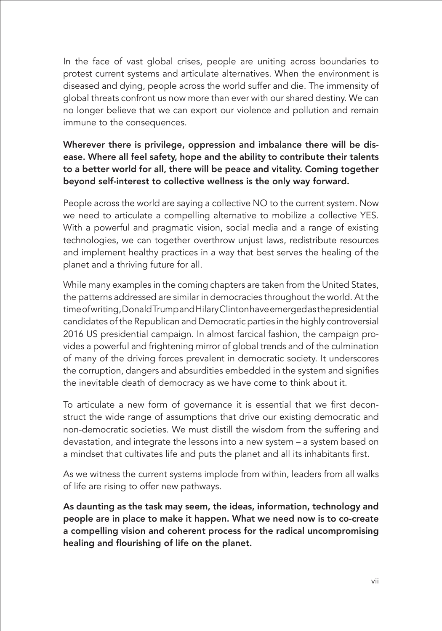In the face of vast global crises, people are uniting across boundaries to protest current systems and articulate alternatives. When the environment is diseased and dying, people across the world suffer and die. The immensity of global threats confront us now more than ever with our shared destiny. We can no longer believe that we can export our violence and pollution and remain immune to the consequences.

#### Wherever there is privilege, oppression and imbalance there will be disease. Where all feel safety, hope and the ability to contribute their talents to a better world for all, there will be peace and vitality. Coming together beyond self-interest to collective wellness is the only way forward.

People across the world are saying a collective NO to the current system. Now we need to articulate a compelling alternative to mobilize a collective YES. With a powerful and pragmatic vision, social media and a range of existing technologies, we can together overthrow unjust laws, redistribute resources and implement healthy practices in a way that best serves the healing of the planet and a thriving future for all.

While many examples in the coming chapters are taken from the United States, the patterns addressed are similar in democracies throughout the world. At the time of writing, Donald Trump and Hilary Clinton have emerged as the presidential candidates of the Republican and Democratic parties in the highly controversial 2016 US presidential campaign. In almost farcical fashion, the campaign provides a powerful and frightening mirror of global trends and of the culmination of many of the driving forces prevalent in democratic society. It underscores the corruption, dangers and absurdities embedded in the system and signifies the inevitable death of democracy as we have come to think about it.

To articulate a new form of governance it is essential that we first deconstruct the wide range of assumptions that drive our existing democratic and non-democratic societies. We must distill the wisdom from the suffering and devastation, and integrate the lessons into a new system – a system based on a mindset that cultivates life and puts the planet and all its inhabitants first.

As we witness the current systems implode from within, leaders from all walks of life are rising to offer new pathways.

As daunting as the task may seem, the ideas, information, technology and people are in place to make it happen. What we need now is to co-create a compelling vision and coherent process for the radical uncompromising healing and flourishing of life on the planet.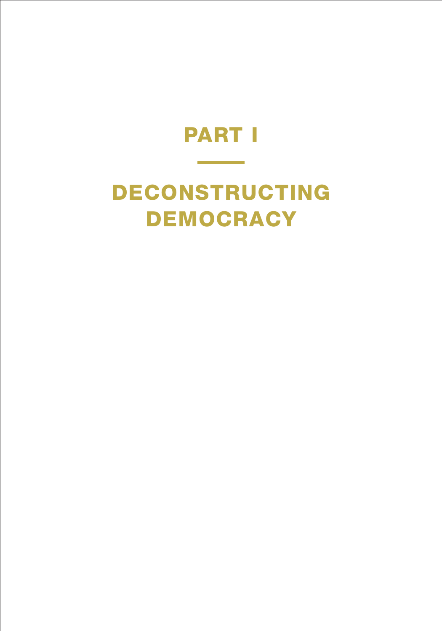# PART I

# <span id="page-7-0"></span>DECONSTRUCTING DEMOCRACY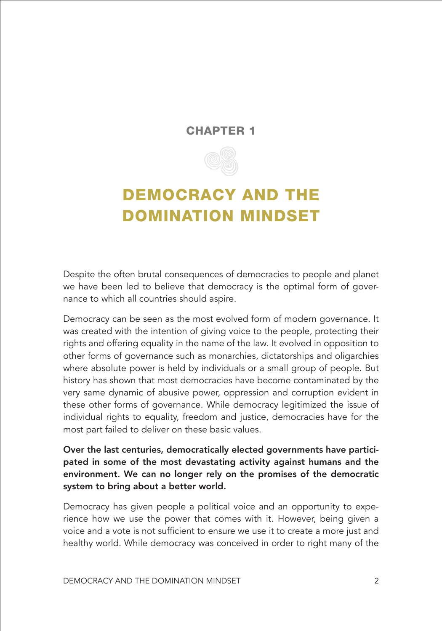#### CHAPTER 1



## <span id="page-8-0"></span>DEMOCRACY AND THE DOMINATION MINDSET

Despite the often brutal consequences of democracies to people and planet we have been led to believe that democracy is the optimal form of governance to which all countries should aspire.

Democracy can be seen as the most evolved form of modern governance. It was created with the intention of giving voice to the people, protecting their rights and offering equality in the name of the law. It evolved in opposition to other forms of governance such as monarchies, dictatorships and oligarchies where absolute power is held by individuals or a small group of people. But history has shown that most democracies have become contaminated by the very same dynamic of abusive power, oppression and corruption evident in these other forms of governance. While democracy legitimized the issue of individual rights to equality, freedom and justice, democracies have for the most part failed to deliver on these basic values.

Over the last centuries, democratically elected governments have participated in some of the most devastating activity against humans and the environment. We can no longer rely on the promises of the democratic system to bring about a better world.

Democracy has given people a political voice and an opportunity to experience how we use the power that comes with it. However, being given a voice and a vote is not sufficient to ensure we use it to create a more just and healthy world. While democracy was conceived in order to right many of the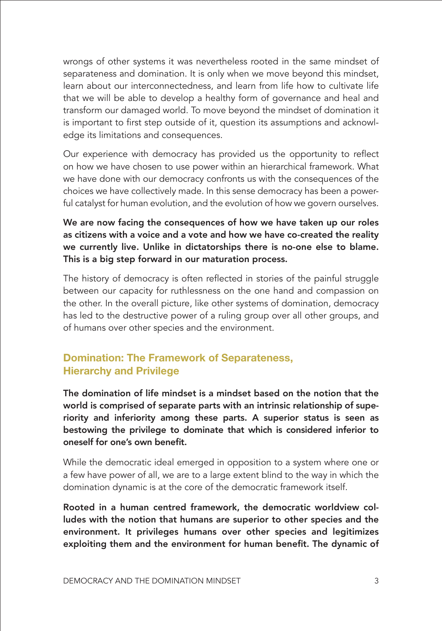wrongs of other systems it was nevertheless rooted in the same mindset of separateness and domination. It is only when we move beyond this mindset, learn about our interconnectedness, and learn from life how to cultivate life that we will be able to develop a healthy form of governance and heal and transform our damaged world. To move beyond the mindset of domination it is important to first step outside of it, question its assumptions and acknowledge its limitations and consequences.

Our experience with democracy has provided us the opportunity to reflect on how we have chosen to use power within an hierarchical framework. What we have done with our democracy confronts us with the consequences of the choices we have collectively made. In this sense democracy has been a powerful catalyst for human evolution, and the evolution of how we govern ourselves.

We are now facing the consequences of how we have taken up our roles as citizens with a voice and a vote and how we have co-created the reality we currently live. Unlike in dictatorships there is no-one else to blame. This is a big step forward in our maturation process.

The history of democracy is often reflected in stories of the painful struggle between our capacity for ruthlessness on the one hand and compassion on the other. In the overall picture, like other systems of domination, democracy has led to the destructive power of a ruling group over all other groups, and of humans over other species and the environment.

#### **Domination: The Framework of Separateness, Hierarchy and Privilege**

The domination of life mindset is a mindset based on the notion that the world is comprised of separate parts with an intrinsic relationship of superiority and inferiority among these parts. A superior status is seen as bestowing the privilege to dominate that which is considered inferior to oneself for one's own benefit.

While the democratic ideal emerged in opposition to a system where one or a few have power of all, we are to a large extent blind to the way in which the domination dynamic is at the core of the democratic framework itself.

Rooted in a human centred framework, the democratic worldview colludes with the notion that humans are superior to other species and the environment. It privileges humans over other species and legitimizes exploiting them and the environment for human benefit. The dynamic of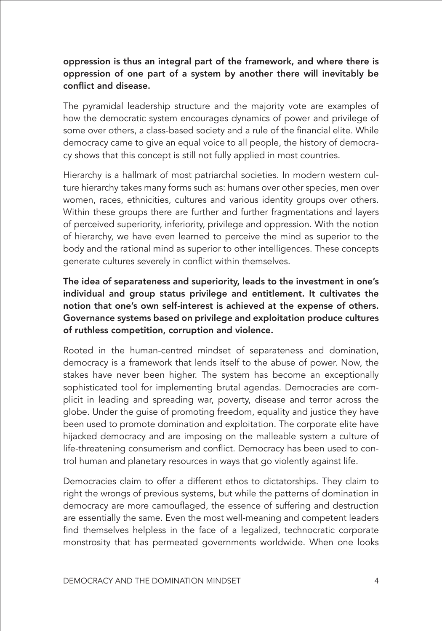#### oppression is thus an integral part of the framework, and where there is oppression of one part of a system by another there will inevitably be conflict and disease.

The pyramidal leadership structure and the majority vote are examples of how the democratic system encourages dynamics of power and privilege of some over others, a class-based society and a rule of the financial elite. While democracy came to give an equal voice to all people, the history of democracy shows that this concept is still not fully applied in most countries.

Hierarchy is a hallmark of most patriarchal societies. In modern western culture hierarchy takes many forms such as: humans over other species, men over women, races, ethnicities, cultures and various identity groups over others. Within these groups there are further and further fragmentations and layers of perceived superiority, inferiority, privilege and oppression. With the notion of hierarchy, we have even learned to perceive the mind as superior to the body and the rational mind as superior to other intelligences. These concepts generate cultures severely in conflict within themselves.

The idea of separateness and superiority, leads to the investment in one's individual and group status privilege and entitlement. It cultivates the notion that one's own self-interest is achieved at the expense of others. Governance systems based on privilege and exploitation produce cultures of ruthless competition, corruption and violence.

Rooted in the human-centred mindset of separateness and domination, democracy is a framework that lends itself to the abuse of power. Now, the stakes have never been higher. The system has become an exceptionally sophisticated tool for implementing brutal agendas. Democracies are complicit in leading and spreading war, poverty, disease and terror across the globe. Under the guise of promoting freedom, equality and justice they have been used to promote domination and exploitation. The corporate elite have hijacked democracy and are imposing on the malleable system a culture of life-threatening consumerism and conflict. Democracy has been used to control human and planetary resources in ways that go violently against life.

Democracies claim to offer a different ethos to dictatorships. They claim to right the wrongs of previous systems, but while the patterns of domination in democracy are more camouflaged, the essence of suffering and destruction are essentially the same. Even the most well-meaning and competent leaders find themselves helpless in the face of a legalized, technocratic corporate monstrosity that has permeated governments worldwide. When one looks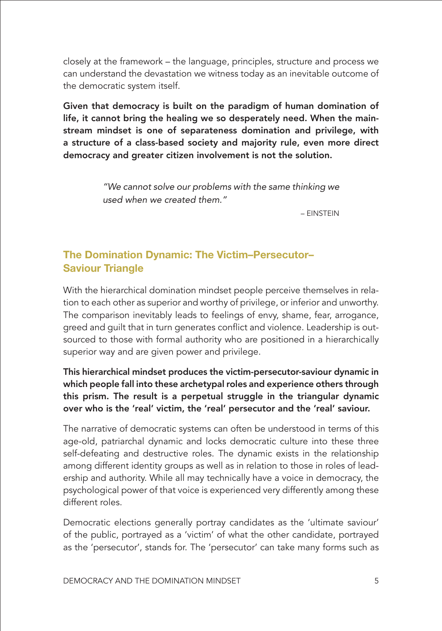closely at the framework – the language, principles, structure and process we can understand the devastation we witness today as an inevitable outcome of the democratic system itself.

Given that democracy is built on the paradigm of human domination of life, it cannot bring the healing we so desperately need. When the mainstream mindset is one of separateness domination and privilege, with a structure of a class-based society and majority rule, even more direct democracy and greater citizen involvement is not the solution.

> *"We cannot solve our problems with the same thinking we used when we created them."*

> > – EINSTEIN

#### **The Domination Dynamic: The Victim–Persecutor– Saviour Triangle**

With the hierarchical domination mindset people perceive themselves in relation to each other as superior and worthy of privilege, or inferior and unworthy. The comparison inevitably leads to feelings of envy, shame, fear, arrogance, greed and guilt that in turn generates conflict and violence. Leadership is outsourced to those with formal authority who are positioned in a hierarchically superior way and are given power and privilege.

This hierarchical mindset produces the victim-persecutor-saviour dynamic in which people fall into these archetypal roles and experience others through this prism. The result is a perpetual struggle in the triangular dynamic over who is the 'real' victim, the 'real' persecutor and the 'real' saviour.

The narrative of democratic systems can often be understood in terms of this age-old, patriarchal dynamic and locks democratic culture into these three self-defeating and destructive roles. The dynamic exists in the relationship among different identity groups as well as in relation to those in roles of leadership and authority. While all may technically have a voice in democracy, the psychological power of that voice is experienced very differently among these different roles.

Democratic elections generally portray candidates as the 'ultimate saviour' of the public, portrayed as a 'victim' of what the other candidate, portrayed as the 'persecutor', stands for. The 'persecutor' can take many forms such as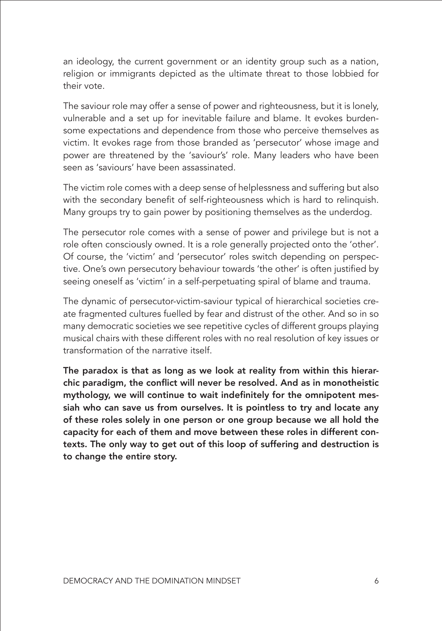an ideology, the current government or an identity group such as a nation, religion or immigrants depicted as the ultimate threat to those lobbied for their vote.

The saviour role may offer a sense of power and righteousness, but it is lonely, vulnerable and a set up for inevitable failure and blame. It evokes burdensome expectations and dependence from those who perceive themselves as victim. It evokes rage from those branded as 'persecutor' whose image and power are threatened by the 'saviour's' role. Many leaders who have been seen as 'saviours' have been assassinated.

The victim role comes with a deep sense of helplessness and suffering but also with the secondary benefit of self-righteousness which is hard to relinquish. Many groups try to gain power by positioning themselves as the underdog.

The persecutor role comes with a sense of power and privilege but is not a role often consciously owned. It is a role generally projected onto the 'other'. Of course, the 'victim' and 'persecutor' roles switch depending on perspective. One's own persecutory behaviour towards 'the other' is often justified by seeing oneself as 'victim' in a self-perpetuating spiral of blame and trauma.

The dynamic of persecutor-victim-saviour typical of hierarchical societies create fragmented cultures fuelled by fear and distrust of the other. And so in so many democratic societies we see repetitive cycles of different groups playing musical chairs with these different roles with no real resolution of key issues or transformation of the narrative itself.

The paradox is that as long as we look at reality from within this hierarchic paradigm, the conflict will never be resolved. And as in monotheistic mythology, we will continue to wait indefinitely for the omnipotent messiah who can save us from ourselves. It is pointless to try and locate any of these roles solely in one person or one group because we all hold the capacity for each of them and move between these roles in different contexts. The only way to get out of this loop of suffering and destruction is to change the entire story.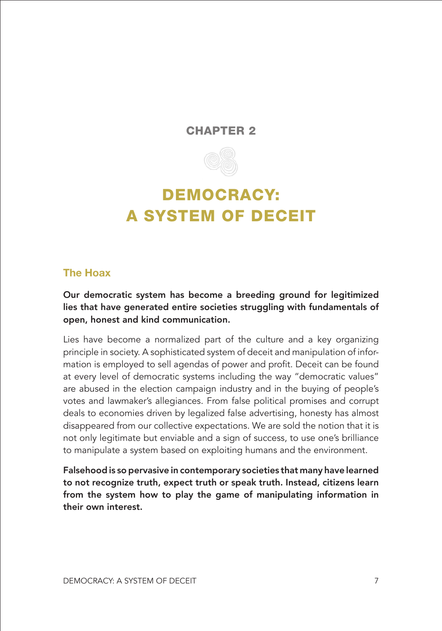#### <span id="page-13-0"></span>CHAPTER 2



### DEMOCRACY: A SYSTEM OF DECEIT

#### **The Hoax**

Our democratic system has become a breeding ground for legitimized lies that have generated entire societies struggling with fundamentals of open, honest and kind communication.

Lies have become a normalized part of the culture and a key organizing principle in society. A sophisticated system of deceit and manipulation of information is employed to sell agendas of power and profit. Deceit can be found at every level of democratic systems including the way "democratic values" are abused in the election campaign industry and in the buying of people's votes and lawmaker's allegiances. From false political promises and corrupt deals to economies driven by legalized false advertising, honesty has almost disappeared from our collective expectations. We are sold the notion that it is not only legitimate but enviable and a sign of success, to use one's brilliance to manipulate a system based on exploiting humans and the environment.

Falsehood is so pervasive in contemporary societies that many have learned to not recognize truth, expect truth or speak truth. Instead, citizens learn from the system how to play the game of manipulating information in their own interest.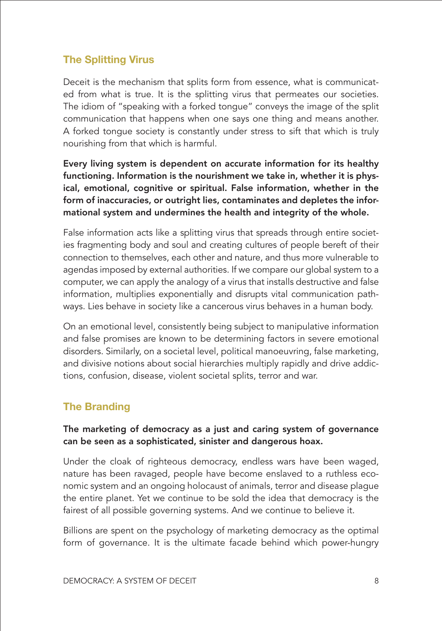#### **The Splitting Virus**

Deceit is the mechanism that splits form from essence, what is communicated from what is true. It is the splitting virus that permeates our societies. The idiom of "speaking with a forked tongue" conveys the image of the split communication that happens when one says one thing and means another. A forked tongue society is constantly under stress to sift that which is truly nourishing from that which is harmful.

Every living system is dependent on accurate information for its healthy functioning. Information is the nourishment we take in, whether it is physical, emotional, cognitive or spiritual. False information, whether in the form of inaccuracies, or outright lies, contaminates and depletes the informational system and undermines the health and integrity of the whole.

False information acts like a splitting virus that spreads through entire societies fragmenting body and soul and creating cultures of people bereft of their connection to themselves, each other and nature, and thus more vulnerable to agendas imposed by external authorities. If we compare our global system to a computer, we can apply the analogy of a virus that installs destructive and false information, multiplies exponentially and disrupts vital communication pathways. Lies behave in society like a cancerous virus behaves in a human body.

On an emotional level, consistently being subject to manipulative information and false promises are known to be determining factors in severe emotional disorders. Similarly, on a societal level, political manoeuvring, false marketing, and divisive notions about social hierarchies multiply rapidly and drive addictions, confusion, disease, violent societal splits, terror and war.

#### **The Branding**

#### The marketing of democracy as a just and caring system of governance can be seen as a sophisticated, sinister and dangerous hoax.

Under the cloak of righteous democracy, endless wars have been waged, nature has been ravaged, people have become enslaved to a ruthless economic system and an ongoing holocaust of animals, terror and disease plague the entire planet. Yet we continue to be sold the idea that democracy is the fairest of all possible governing systems. And we continue to believe it.

Billions are spent on the psychology of marketing democracy as the optimal form of governance. It is the ultimate facade behind which power-hungry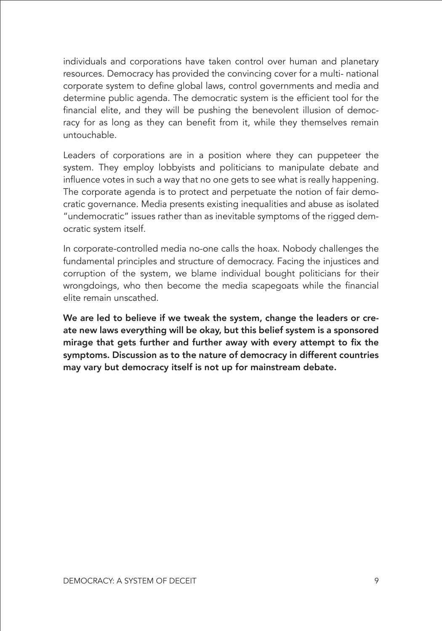individuals and corporations have taken control over human and planetary resources. Democracy has provided the convincing cover for a multi- national corporate system to define global laws, control governments and media and determine public agenda. The democratic system is the efficient tool for the financial elite, and they will be pushing the benevolent illusion of democracy for as long as they can benefit from it, while they themselves remain untouchable.

Leaders of corporations are in a position where they can puppeteer the system. They employ lobbyists and politicians to manipulate debate and influence votes in such a way that no one gets to see what is really happening. The corporate agenda is to protect and perpetuate the notion of fair democratic governance. Media presents existing inequalities and abuse as isolated "undemocratic" issues rather than as inevitable symptoms of the rigged democratic system itself.

In corporate-controlled media no-one calls the hoax. Nobody challenges the fundamental principles and structure of democracy. Facing the injustices and corruption of the system, we blame individual bought politicians for their wrongdoings, who then become the media scapegoats while the financial elite remain unscathed.

We are led to believe if we tweak the system, change the leaders or create new laws everything will be okay, but this belief system is a sponsored mirage that gets further and further away with every attempt to fix the symptoms. Discussion as to the nature of democracy in different countries may vary but democracy itself is not up for mainstream debate.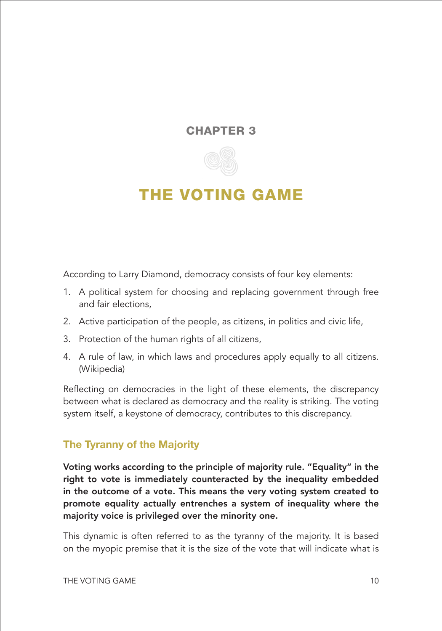#### <span id="page-16-0"></span>CHAPTER 3



### THE VOTING GAME

According to Larry Diamond, democracy consists of four key elements:

- 1. A political system for choosing and replacing government through free and fair elections,
- 2. Active participation of the people, as citizens, in politics and civic life,
- 3. Protection of the human rights of all citizens,
- 4. A rule of law, in which laws and procedures apply equally to all citizens. (Wikipedia)

Reflecting on democracies in the light of these elements, the discrepancy between what is declared as democracy and the reality is striking. The voting system itself, a keystone of democracy, contributes to this discrepancy.

#### **The Tyranny of the Majority**

Voting works according to the principle of majority rule. "Equality" in the right to vote is immediately counteracted by the inequality embedded in the outcome of a vote. This means the very voting system created to promote equality actually entrenches a system of inequality where the majority voice is privileged over the minority one.

This dynamic is often referred to as the tyranny of the majority. It is based on the myopic premise that it is the size of the vote that will indicate what is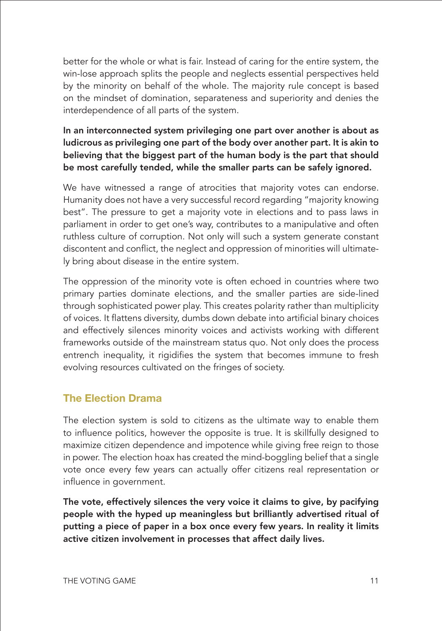better for the whole or what is fair. Instead of caring for the entire system, the win-lose approach splits the people and neglects essential perspectives held by the minority on behalf of the whole. The majority rule concept is based on the mindset of domination, separateness and superiority and denies the interdependence of all parts of the system.

#### In an interconnected system privileging one part over another is about as ludicrous as privileging one part of the body over another part. It is akin to believing that the biggest part of the human body is the part that should be most carefully tended, while the smaller parts can be safely ignored.

We have witnessed a range of atrocities that majority votes can endorse. Humanity does not have a very successful record regarding "majority knowing best". The pressure to get a majority vote in elections and to pass laws in parliament in order to get one's way, contributes to a manipulative and often ruthless culture of corruption. Not only will such a system generate constant discontent and conflict, the neglect and oppression of minorities will ultimately bring about disease in the entire system.

The oppression of the minority vote is often echoed in countries where two primary parties dominate elections, and the smaller parties are side-lined through sophisticated power play. This creates polarity rather than multiplicity of voices. It flattens diversity, dumbs down debate into artificial binary choices and effectively silences minority voices and activists working with different frameworks outside of the mainstream status quo. Not only does the process entrench inequality, it rigidifies the system that becomes immune to fresh evolving resources cultivated on the fringes of society.

#### **The Election Drama**

The election system is sold to citizens as the ultimate way to enable them to influence politics, however the opposite is true. It is skillfully designed to maximize citizen dependence and impotence while giving free reign to those in power. The election hoax has created the mind-boggling belief that a single vote once every few years can actually offer citizens real representation or influence in government.

The vote, effectively silences the very voice it claims to give, by pacifying people with the hyped up meaningless but brilliantly advertised ritual of putting a piece of paper in a box once every few years. In reality it limits active citizen involvement in processes that affect daily lives.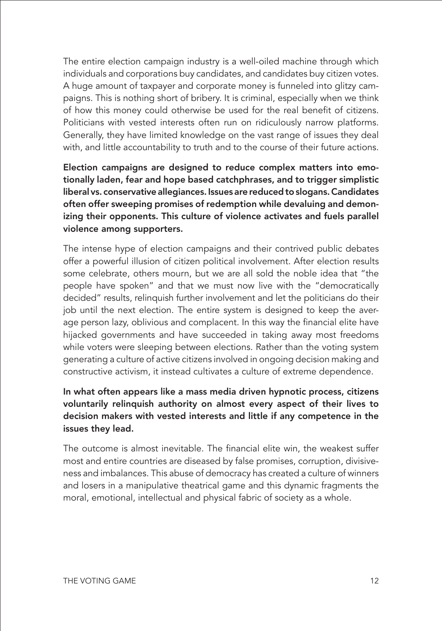The entire election campaign industry is a well-oiled machine through which individuals and corporations buy candidates, and candidates buy citizen votes. A huge amount of taxpayer and corporate money is funneled into glitzy campaigns. This is nothing short of bribery. It is criminal, especially when we think of how this money could otherwise be used for the real benefit of citizens. Politicians with vested interests often run on ridiculously narrow platforms. Generally, they have limited knowledge on the vast range of issues they deal with, and little accountability to truth and to the course of their future actions.

Election campaigns are designed to reduce complex matters into emotionally laden, fear and hope based catchphrases, and to trigger simplistic liberal vs. conservative allegiances. Issues are reduced to slogans. Candidates often offer sweeping promises of redemption while devaluing and demonizing their opponents. This culture of violence activates and fuels parallel violence among supporters.

The intense hype of election campaigns and their contrived public debates offer a powerful illusion of citizen political involvement. After election results some celebrate, others mourn, but we are all sold the noble idea that "the people have spoken" and that we must now live with the "democratically decided" results, relinquish further involvement and let the politicians do their job until the next election. The entire system is designed to keep the average person lazy, oblivious and complacent. In this way the financial elite have hijacked governments and have succeeded in taking away most freedoms while voters were sleeping between elections. Rather than the voting system generating a culture of active citizens involved in ongoing decision making and constructive activism, it instead cultivates a culture of extreme dependence.

#### In what often appears like a mass media driven hypnotic process, citizens voluntarily relinquish authority on almost every aspect of their lives to decision makers with vested interests and little if any competence in the issues they lead.

The outcome is almost inevitable. The financial elite win, the weakest suffer most and entire countries are diseased by false promises, corruption, divisiveness and imbalances. This abuse of democracy has created a culture of winners and losers in a manipulative theatrical game and this dynamic fragments the moral, emotional, intellectual and physical fabric of society as a whole.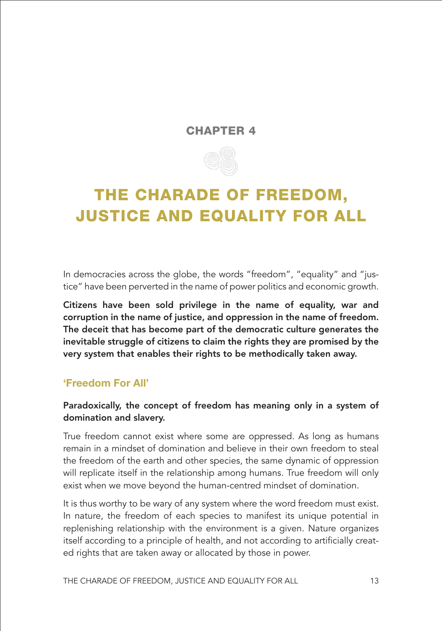#### CHAPTER 4



## <span id="page-19-0"></span>THE CHARADE OF FREEDOM, JUSTICE AND EQUALITY FOR ALL

In democracies across the globe, the words "freedom", "equality" and "justice" have been perverted in the name of power politics and economic growth.

Citizens have been sold privilege in the name of equality, war and corruption in the name of justice, and oppression in the name of freedom. The deceit that has become part of the democratic culture generates the inevitable struggle of citizens to claim the rights they are promised by the very system that enables their rights to be methodically taken away.

#### **'Freedom For All'**

#### Paradoxically, the concept of freedom has meaning only in a system of domination and slavery.

True freedom cannot exist where some are oppressed. As long as humans remain in a mindset of domination and believe in their own freedom to steal the freedom of the earth and other species, the same dynamic of oppression will replicate itself in the relationship among humans. True freedom will only exist when we move beyond the human-centred mindset of domination.

It is thus worthy to be wary of any system where the word freedom must exist. In nature, the freedom of each species to manifest its unique potential in replenishing relationship with the environment is a given. Nature organizes itself according to a principle of health, and not according to artificially created rights that are taken away or allocated by those in power.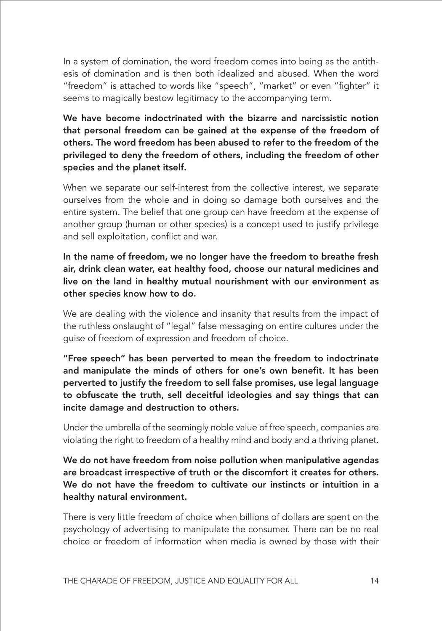In a system of domination, the word freedom comes into being as the antithesis of domination and is then both idealized and abused. When the word "freedom" is attached to words like "speech", "market" or even "fighter" it seems to magically bestow legitimacy to the accompanying term.

We have become indoctrinated with the bizarre and narcissistic notion that personal freedom can be gained at the expense of the freedom of others. The word freedom has been abused to refer to the freedom of the privileged to deny the freedom of others, including the freedom of other species and the planet itself.

When we separate our self-interest from the collective interest, we separate ourselves from the whole and in doing so damage both ourselves and the entire system. The belief that one group can have freedom at the expense of another group (human or other species) is a concept used to justify privilege and sell exploitation, conflict and war.

In the name of freedom, we no longer have the freedom to breathe fresh air, drink clean water, eat healthy food, choose our natural medicines and live on the land in healthy mutual nourishment with our environment as other species know how to do.

We are dealing with the violence and insanity that results from the impact of the ruthless onslaught of "legal" false messaging on entire cultures under the guise of freedom of expression and freedom of choice.

"Free speech" has been perverted to mean the freedom to indoctrinate and manipulate the minds of others for one's own benefit. It has been perverted to justify the freedom to sell false promises, use legal language to obfuscate the truth, sell deceitful ideologies and say things that can incite damage and destruction to others.

Under the umbrella of the seemingly noble value of free speech, companies are violating the right to freedom of a healthy mind and body and a thriving planet.

We do not have freedom from noise pollution when manipulative agendas are broadcast irrespective of truth or the discomfort it creates for others. We do not have the freedom to cultivate our instincts or intuition in a healthy natural environment.

There is very little freedom of choice when billions of dollars are spent on the psychology of advertising to manipulate the consumer. There can be no real choice or freedom of information when media is owned by those with their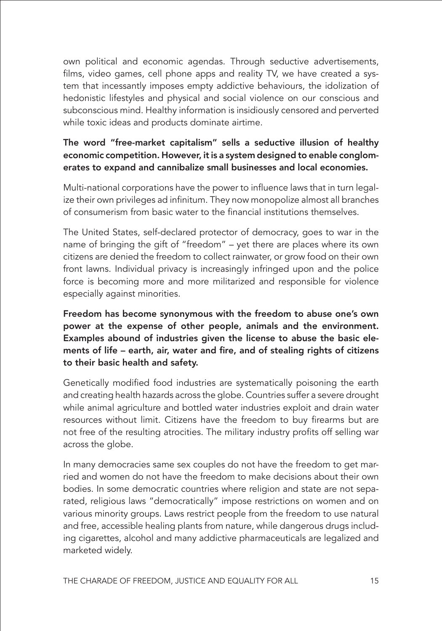own political and economic agendas. Through seductive advertisements, films, video games, cell phone apps and reality TV, we have created a system that incessantly imposes empty addictive behaviours, the idolization of hedonistic lifestyles and physical and social violence on our conscious and subconscious mind. Healthy information is insidiously censored and perverted while toxic ideas and products dominate airtime.

#### The word "free-market capitalism" sells a seductive illusion of healthy economic competition. However, it is a system designed to enable conglomerates to expand and cannibalize small businesses and local economies.

Multi-national corporations have the power to influence laws that in turn legalize their own privileges ad infinitum. They now monopolize almost all branches of consumerism from basic water to the financial institutions themselves.

The United States, self-declared protector of democracy, goes to war in the name of bringing the gift of "freedom" – yet there are places where its own citizens are denied the freedom to collect rainwater, or grow food on their own front lawns. Individual privacy is increasingly infringed upon and the police force is becoming more and more militarized and responsible for violence especially against minorities.

#### Freedom has become synonymous with the freedom to abuse one's own power at the expense of other people, animals and the environment. Examples abound of industries given the license to abuse the basic elements of life – earth, air, water and fire, and of stealing rights of citizens to their basic health and safety.

Genetically modified food industries are systematically poisoning the earth and creating health hazards across the globe. Countries suffer a severe drought while animal agriculture and bottled water industries exploit and drain water resources without limit. Citizens have the freedom to buy firearms but are not free of the resulting atrocities. The military industry profits off selling war across the globe.

In many democracies same sex couples do not have the freedom to get married and women do not have the freedom to make decisions about their own bodies. In some democratic countries where religion and state are not separated, religious laws "democratically" impose restrictions on women and on various minority groups. Laws restrict people from the freedom to use natural and free, accessible healing plants from nature, while dangerous drugs including cigarettes, alcohol and many addictive pharmaceuticals are legalized and marketed widely.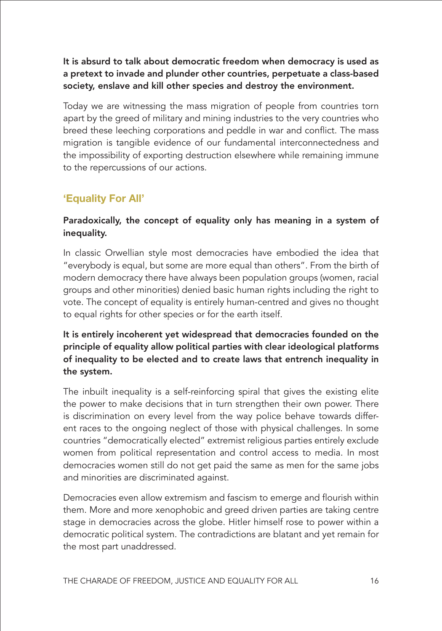It is absurd to talk about democratic freedom when democracy is used as a pretext to invade and plunder other countries, perpetuate a class-based society, enslave and kill other species and destroy the environment.

Today we are witnessing the mass migration of people from countries torn apart by the greed of military and mining industries to the very countries who breed these leeching corporations and peddle in war and conflict. The mass migration is tangible evidence of our fundamental interconnectedness and the impossibility of exporting destruction elsewhere while remaining immune to the repercussions of our actions.

#### **'Equality For All'**

#### Paradoxically, the concept of equality only has meaning in a system of inequality.

In classic Orwellian style most democracies have embodied the idea that "everybody is equal, but some are more equal than others". From the birth of modern democracy there have always been population groups (women, racial groups and other minorities) denied basic human rights including the right to vote. The concept of equality is entirely human-centred and gives no thought to equal rights for other species or for the earth itself.

#### It is entirely incoherent yet widespread that democracies founded on the principle of equality allow political parties with clear ideological platforms of inequality to be elected and to create laws that entrench inequality in the system.

The inbuilt inequality is a self-reinforcing spiral that gives the existing elite the power to make decisions that in turn strengthen their own power. There is discrimination on every level from the way police behave towards different races to the ongoing neglect of those with physical challenges. In some countries "democratically elected" extremist religious parties entirely exclude women from political representation and control access to media. In most democracies women still do not get paid the same as men for the same jobs and minorities are discriminated against.

Democracies even allow extremism and fascism to emerge and flourish within them. More and more xenophobic and greed driven parties are taking centre stage in democracies across the globe. Hitler himself rose to power within a democratic political system. The contradictions are blatant and yet remain for the most part unaddressed.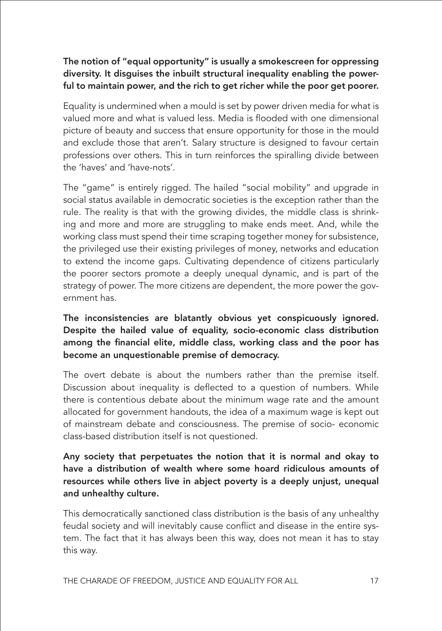#### The notion of "equal opportunity" is usually a smokescreen for oppressing diversity. It disguises the inbuilt structural inequality enabling the powerful to maintain power, and the rich to get richer while the poor get poorer.

Equality is undermined when a mould is set by power driven media for what is valued more and what is valued less. Media is flooded with one dimensional picture of beauty and success that ensure opportunity for those in the mould and exclude those that aren't. Salary structure is designed to favour certain professions over others. This in turn reinforces the spiralling divide between the 'haves' and 'have-nots'.

The "game" is entirely rigged. The hailed "social mobility" and upgrade in social status available in democratic societies is the exception rather than the rule. The reality is that with the growing divides, the middle class is shrinking and more and more are struggling to make ends meet. And, while the working class must spend their time scraping together money for subsistence, the privileged use their existing privileges of money, networks and education to extend the income gaps. Cultivating dependence of citizens particularly the poorer sectors promote a deeply unequal dynamic, and is part of the strategy of power. The more citizens are dependent, the more power the government has.

The inconsistencies are blatantly obvious yet conspicuously ignored. Despite the hailed value of equality, socio-economic class distribution among the financial elite, middle class, working class and the poor has become an unquestionable premise of democracy.

The overt debate is about the numbers rather than the premise itself. Discussion about inequality is deflected to a question of numbers. While there is contentious debate about the minimum wage rate and the amount allocated for government handouts, the idea of a maximum wage is kept out of mainstream debate and consciousness. The premise of socio- economic class-based distribution itself is not questioned.

Any society that perpetuates the notion that it is normal and okay to have a distribution of wealth where some hoard ridiculous amounts of resources while others live in abject poverty is a deeply unjust, unequal and unhealthy culture.

This democratically sanctioned class distribution is the basis of any unhealthy feudal society and will inevitably cause conflict and disease in the entire system. The fact that it has always been this way, does not mean it has to stay this way.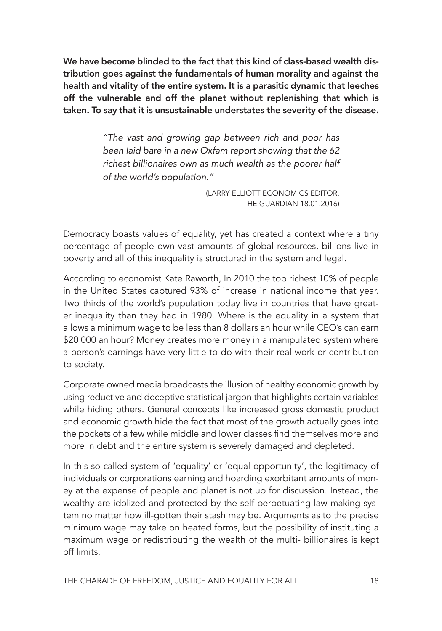We have become blinded to the fact that this kind of class-based wealth distribution goes against the fundamentals of human morality and against the health and vitality of the entire system. It is a parasitic dynamic that leeches off the vulnerable and off the planet without replenishing that which is taken. To say that it is unsustainable understates the severity of the disease.

> *"The vast and growing gap between rich and poor has been laid bare in a new Oxfam report showing that the 62 richest billionaires own as much wealth as the poorer half of the world's population."*

> > – (LARRY ELLIOTT ECONOMICS EDITOR, THE GUARDIAN 18.01.2016)

Democracy boasts values of equality, yet has created a context where a tiny percentage of people own vast amounts of global resources, billions live in poverty and all of this inequality is structured in the system and legal.

According to economist Kate Raworth, In 2010 the top richest 10% of people in the United States captured 93% of increase in national income that year. Two thirds of the world's population today live in countries that have greater inequality than they had in 1980. Where is the equality in a system that allows a minimum wage to be less than 8 dollars an hour while CEO's can earn \$20 000 an hour? Money creates more money in a manipulated system where a person's earnings have very little to do with their real work or contribution to society.

Corporate owned media broadcasts the illusion of healthy economic growth by using reductive and deceptive statistical jargon that highlights certain variables while hiding others. General concepts like increased gross domestic product and economic growth hide the fact that most of the growth actually goes into the pockets of a few while middle and lower classes find themselves more and more in debt and the entire system is severely damaged and depleted.

In this so-called system of 'equality' or 'equal opportunity', the legitimacy of individuals or corporations earning and hoarding exorbitant amounts of money at the expense of people and planet is not up for discussion. Instead, the wealthy are idolized and protected by the self-perpetuating law-making system no matter how ill-gotten their stash may be. Arguments as to the precise minimum wage may take on heated forms, but the possibility of instituting a maximum wage or redistributing the wealth of the multi- billionaires is kept off limits.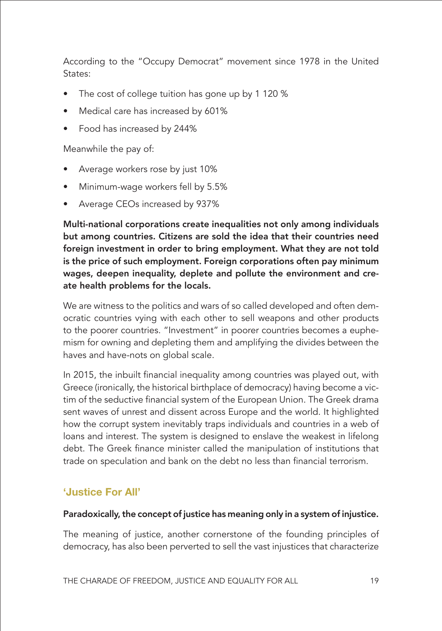According to the "Occupy Democrat" movement since 1978 in the United States:

- The cost of college tuition has gone up by 1 120 %
- Medical care has increased by 601%
- Food has increased by 244%

Meanwhile the pay of:

- Average workers rose by just 10%
- Minimum-wage workers fell by 5.5%
- Average CEOs increased by 937%

Multi-national corporations create inequalities not only among individuals but among countries. Citizens are sold the idea that their countries need foreign investment in order to bring employment. What they are not told is the price of such employment. Foreign corporations often pay minimum wages, deepen inequality, deplete and pollute the environment and create health problems for the locals.

We are witness to the politics and wars of so called developed and often democratic countries vying with each other to sell weapons and other products to the poorer countries. "Investment" in poorer countries becomes a euphemism for owning and depleting them and amplifying the divides between the haves and have-nots on global scale.

In 2015, the inbuilt financial inequality among countries was played out, with Greece (ironically, the historical birthplace of democracy) having become a victim of the seductive financial system of the European Union. The Greek drama sent waves of unrest and dissent across Europe and the world. It highlighted how the corrupt system inevitably traps individuals and countries in a web of loans and interest. The system is designed to enslave the weakest in lifelong debt. The Greek finance minister called the manipulation of institutions that trade on speculation and bank on the debt no less than financial terrorism.

#### **'Justice For All'**

#### Paradoxically, the concept of justice has meaning only in a system of injustice.

The meaning of justice, another cornerstone of the founding principles of democracy, has also been perverted to sell the vast injustices that characterize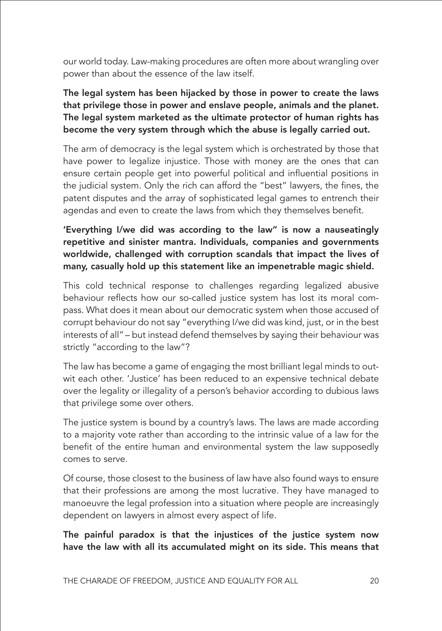our world today. Law-making procedures are often more about wrangling over power than about the essence of the law itself.

The legal system has been hijacked by those in power to create the laws that privilege those in power and enslave people, animals and the planet. The legal system marketed as the ultimate protector of human rights has become the very system through which the abuse is legally carried out.

The arm of democracy is the legal system which is orchestrated by those that have power to legalize injustice. Those with money are the ones that can ensure certain people get into powerful political and influential positions in the judicial system. Only the rich can afford the "best" lawyers, the fines, the patent disputes and the array of sophisticated legal games to entrench their agendas and even to create the laws from which they themselves benefit.

#### 'Everything I/we did was according to the law" is now a nauseatingly repetitive and sinister mantra. Individuals, companies and governments worldwide, challenged with corruption scandals that impact the lives of many, casually hold up this statement like an impenetrable magic shield.

This cold technical response to challenges regarding legalized abusive behaviour reflects how our so-called justice system has lost its moral compass. What does it mean about our democratic system when those accused of corrupt behaviour do not say "everything I/we did was kind, just, or in the best interests of all" – but instead defend themselves by saying their behaviour was strictly "according to the law"?

The law has become a game of engaging the most brilliant legal minds to outwit each other. 'Justice' has been reduced to an expensive technical debate over the legality or illegality of a person's behavior according to dubious laws that privilege some over others.

The justice system is bound by a country's laws. The laws are made according to a majority vote rather than according to the intrinsic value of a law for the benefit of the entire human and environmental system the law supposedly comes to serve.

Of course, those closest to the business of law have also found ways to ensure that their professions are among the most lucrative. They have managed to manoeuvre the legal profession into a situation where people are increasingly dependent on lawyers in almost every aspect of life.

The painful paradox is that the injustices of the justice system now have the law with all its accumulated might on its side. This means that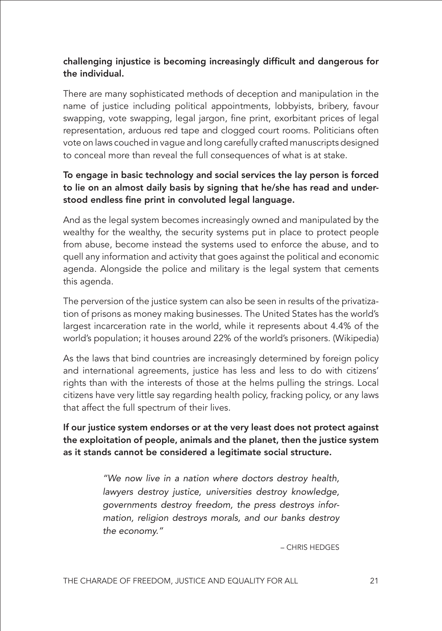#### challenging injustice is becoming increasingly difficult and dangerous for the individual.

There are many sophisticated methods of deception and manipulation in the name of justice including political appointments, lobbyists, bribery, favour swapping, vote swapping, legal jargon, fine print, exorbitant prices of legal representation, arduous red tape and clogged court rooms. Politicians often vote on laws couched in vague and long carefully crafted manuscripts designed to conceal more than reveal the full consequences of what is at stake.

#### To engage in basic technology and social services the lay person is forced to lie on an almost daily basis by signing that he/she has read and understood endless fine print in convoluted legal language.

And as the legal system becomes increasingly owned and manipulated by the wealthy for the wealthy, the security systems put in place to protect people from abuse, become instead the systems used to enforce the abuse, and to quell any information and activity that goes against the political and economic agenda. Alongside the police and military is the legal system that cements this agenda.

The perversion of the justice system can also be seen in results of the privatization of prisons as money making businesses. The United States has the world's largest incarceration rate in the world, while it represents about 4.4% of the world's population; it houses around 22% of the world's prisoners. (Wikipedia)

As the laws that bind countries are increasingly determined by foreign policy and international agreements, justice has less and less to do with citizens' rights than with the interests of those at the helms pulling the strings. Local citizens have very little say regarding health policy, fracking policy, or any laws that affect the full spectrum of their lives.

If our justice system endorses or at the very least does not protect against the exploitation of people, animals and the planet, then the justice system as it stands cannot be considered a legitimate social structure.

> *"We now live in a nation where doctors destroy health, lawyers destroy justice, universities destroy knowledge, governments destroy freedom, the press destroys information, religion destroys morals, and our banks destroy the economy."*

> > – CHRIS HEDGES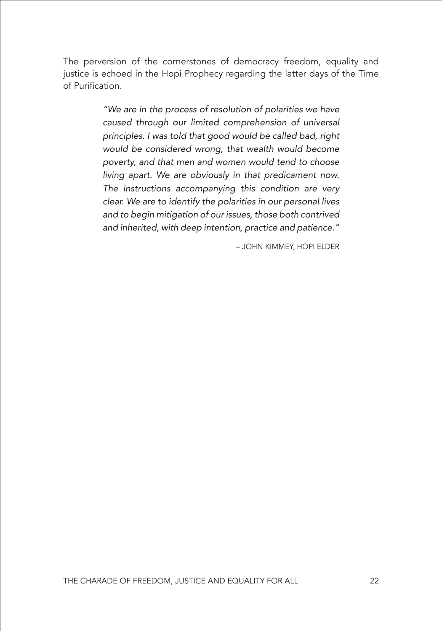The perversion of the cornerstones of democracy freedom, equality and justice is echoed in the Hopi Prophecy regarding the latter days of the Time of Purification.

> *"We are in the process of resolution of polarities we have caused through our limited comprehension of universal principles. I was told that good would be called bad, right would be considered wrong, that wealth would become poverty, and that men and women would tend to choose living apart. We are obviously in that predicament now. The instructions accompanying this condition are very clear. We are to identify the polarities in our personal lives and to begin mitigation of our issues, those both contrived and inherited, with deep intention, practice and patience."*

> > – JOHN KIMMEY, HOPI ELDER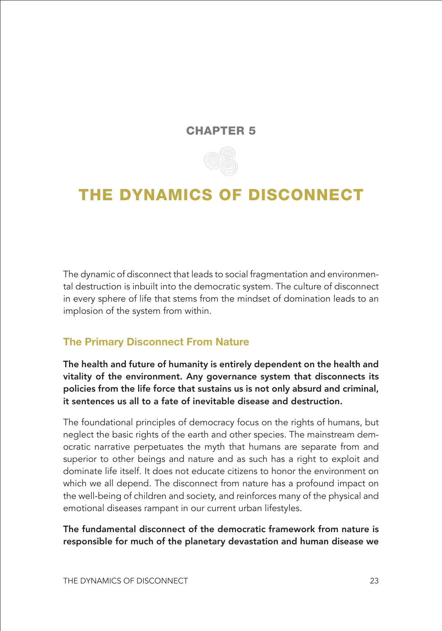#### CHAPTER 5



### <span id="page-29-0"></span>THE DYNAMICS OF DISCONNECT

The dynamic of disconnect that leads to social fragmentation and environmental destruction is inbuilt into the democratic system. The culture of disconnect in every sphere of life that stems from the mindset of domination leads to an implosion of the system from within.

#### **The Primary Disconnect From Nature**

The health and future of humanity is entirely dependent on the health and vitality of the environment. Any governance system that disconnects its policies from the life force that sustains us is not only absurd and criminal, it sentences us all to a fate of inevitable disease and destruction.

The foundational principles of democracy focus on the rights of humans, but neglect the basic rights of the earth and other species. The mainstream democratic narrative perpetuates the myth that humans are separate from and superior to other beings and nature and as such has a right to exploit and dominate life itself. It does not educate citizens to honor the environment on which we all depend. The disconnect from nature has a profound impact on the well-being of children and society, and reinforces many of the physical and emotional diseases rampant in our current urban lifestyles.

The fundamental disconnect of the democratic framework from nature is responsible for much of the planetary devastation and human disease we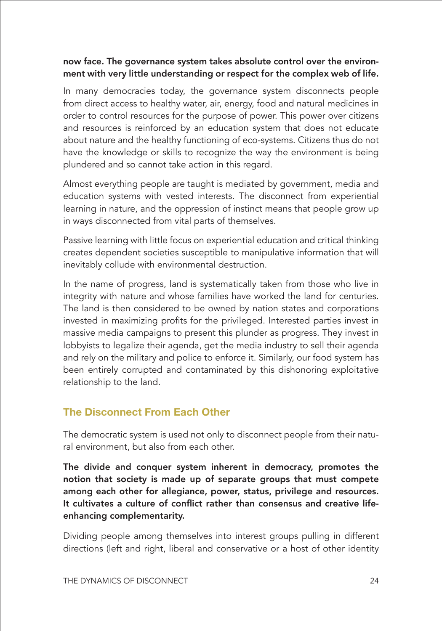#### now face. The governance system takes absolute control over the environment with very little understanding or respect for the complex web of life.

In many democracies today, the governance system disconnects people from direct access to healthy water, air, energy, food and natural medicines in order to control resources for the purpose of power. This power over citizens and resources is reinforced by an education system that does not educate about nature and the healthy functioning of eco-systems. Citizens thus do not have the knowledge or skills to recognize the way the environment is being plundered and so cannot take action in this regard.

Almost everything people are taught is mediated by government, media and education systems with vested interests. The disconnect from experiential learning in nature, and the oppression of instinct means that people grow up in ways disconnected from vital parts of themselves.

Passive learning with little focus on experiential education and critical thinking creates dependent societies susceptible to manipulative information that will inevitably collude with environmental destruction.

In the name of progress, land is systematically taken from those who live in integrity with nature and whose families have worked the land for centuries. The land is then considered to be owned by nation states and corporations invested in maximizing profits for the privileged. Interested parties invest in massive media campaigns to present this plunder as progress. They invest in lobbyists to legalize their agenda, get the media industry to sell their agenda and rely on the military and police to enforce it. Similarly, our food system has been entirely corrupted and contaminated by this dishonoring exploitative relationship to the land.

#### **The Disconnect From Each Other**

The democratic system is used not only to disconnect people from their natural environment, but also from each other.

The divide and conquer system inherent in democracy, promotes the notion that society is made up of separate groups that must compete among each other for allegiance, power, status, privilege and resources. It cultivates a culture of conflict rather than consensus and creative lifeenhancing complementarity.

Dividing people among themselves into interest groups pulling in different directions (left and right, liberal and conservative or a host of other identity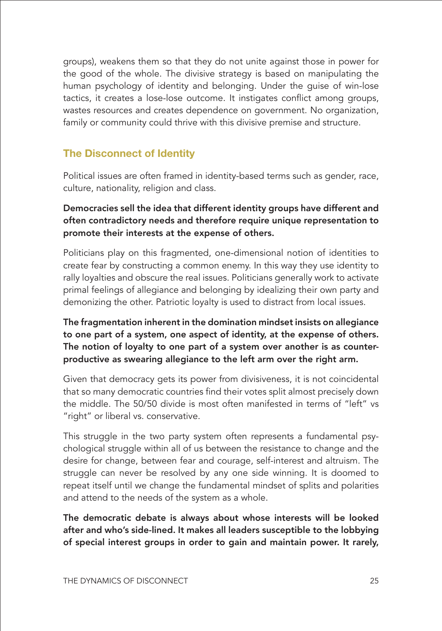groups), weakens them so that they do not unite against those in power for the good of the whole. The divisive strategy is based on manipulating the human psychology of identity and belonging. Under the guise of win-lose tactics, it creates a lose-lose outcome. It instigates conflict among groups, wastes resources and creates dependence on government. No organization, family or community could thrive with this divisive premise and structure.

#### **The Disconnect of Identity**

Political issues are often framed in identity-based terms such as gender, race, culture, nationality, religion and class.

#### Democracies sell the idea that different identity groups have different and often contradictory needs and therefore require unique representation to promote their interests at the expense of others.

Politicians play on this fragmented, one-dimensional notion of identities to create fear by constructing a common enemy. In this way they use identity to rally loyalties and obscure the real issues. Politicians generally work to activate primal feelings of allegiance and belonging by idealizing their own party and demonizing the other. Patriotic loyalty is used to distract from local issues.

#### The fragmentation inherent in the domination mindset insists on allegiance to one part of a system, one aspect of identity, at the expense of others. The notion of loyalty to one part of a system over another is as counterproductive as swearing allegiance to the left arm over the right arm.

Given that democracy gets its power from divisiveness, it is not coincidental that so many democratic countries find their votes split almost precisely down the middle. The 50/50 divide is most often manifested in terms of "left" vs "right" or liberal vs. conservative.

This struggle in the two party system often represents a fundamental psychological struggle within all of us between the resistance to change and the desire for change, between fear and courage, self-interest and altruism. The struggle can never be resolved by any one side winning. It is doomed to repeat itself until we change the fundamental mindset of splits and polarities and attend to the needs of the system as a whole.

The democratic debate is always about whose interests will be looked after and who's side-lined. It makes all leaders susceptible to the lobbying of special interest groups in order to gain and maintain power. It rarely,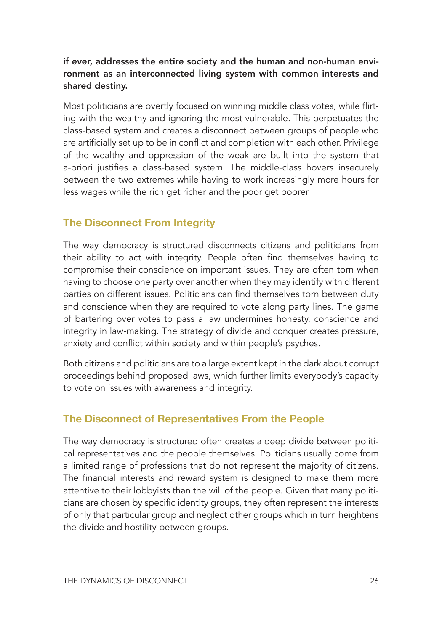#### if ever, addresses the entire society and the human and non-human environment as an interconnected living system with common interests and shared destiny.

Most politicians are overtly focused on winning middle class votes, while flirting with the wealthy and ignoring the most vulnerable. This perpetuates the class-based system and creates a disconnect between groups of people who are artificially set up to be in conflict and completion with each other. Privilege of the wealthy and oppression of the weak are built into the system that a-priori justifies a class-based system. The middle-class hovers insecurely between the two extremes while having to work increasingly more hours for less wages while the rich get richer and the poor get poorer

#### **The Disconnect From Integrity**

The way democracy is structured disconnects citizens and politicians from their ability to act with integrity. People often find themselves having to compromise their conscience on important issues. They are often torn when having to choose one party over another when they may identify with different parties on different issues. Politicians can find themselves torn between duty and conscience when they are required to vote along party lines. The game of bartering over votes to pass a law undermines honesty, conscience and integrity in law-making. The strategy of divide and conquer creates pressure, anxiety and conflict within society and within people's psyches.

Both citizens and politicians are to a large extent kept in the dark about corrupt proceedings behind proposed laws, which further limits everybody's capacity to vote on issues with awareness and integrity.

#### **The Disconnect of Representatives From the People**

The way democracy is structured often creates a deep divide between political representatives and the people themselves. Politicians usually come from a limited range of professions that do not represent the majority of citizens. The financial interests and reward system is designed to make them more attentive to their lobbyists than the will of the people. Given that many politicians are chosen by specific identity groups, they often represent the interests of only that particular group and neglect other groups which in turn heightens the divide and hostility between groups.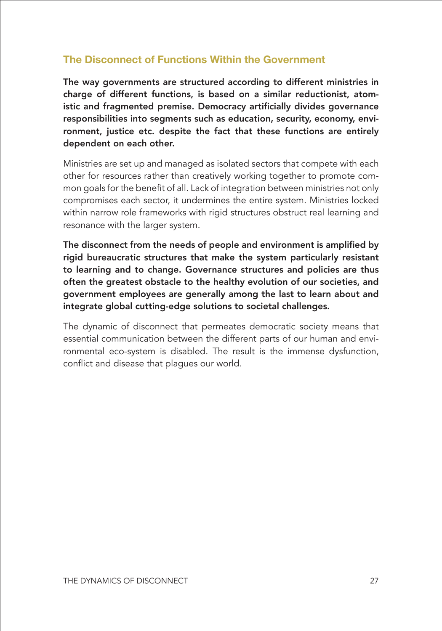#### **The Disconnect of Functions Within the Government**

The way governments are structured according to different ministries in charge of different functions, is based on a similar reductionist, atomistic and fragmented premise. Democracy artificially divides governance responsibilities into segments such as education, security, economy, environment, justice etc. despite the fact that these functions are entirely dependent on each other.

Ministries are set up and managed as isolated sectors that compete with each other for resources rather than creatively working together to promote common goals for the benefit of all. Lack of integration between ministries not only compromises each sector, it undermines the entire system. Ministries locked within narrow role frameworks with rigid structures obstruct real learning and resonance with the larger system.

The disconnect from the needs of people and environment is amplified by rigid bureaucratic structures that make the system particularly resistant to learning and to change. Governance structures and policies are thus often the greatest obstacle to the healthy evolution of our societies, and government employees are generally among the last to learn about and integrate global cutting-edge solutions to societal challenges.

The dynamic of disconnect that permeates democratic society means that essential communication between the different parts of our human and environmental eco-system is disabled. The result is the immense dysfunction, conflict and disease that plagues our world.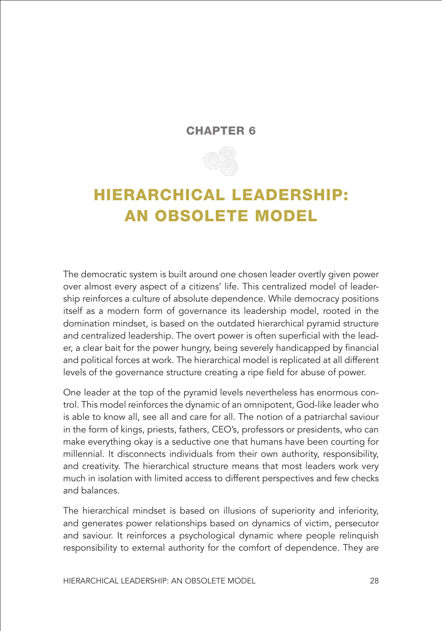#### CHAPTER 6



## <span id="page-34-0"></span>HIERARCHICAL LEADERSHIP: AN OBSOLETE MODEL

The democratic system is built around one chosen leader overtly given power over almost every aspect of a citizens' life. This centralized model of leadership reinforces a culture of absolute dependence. While democracy positions itself as a modern form of governance its leadership model, rooted in the domination mindset, is based on the outdated hierarchical pyramid structure and centralized leadership. The overt power is often superficial with the leader, a clear bait for the power hungry, being severely handicapped by financial and political forces at work. The hierarchical model is replicated at all different levels of the governance structure creating a ripe field for abuse of power.

One leader at the top of the pyramid levels nevertheless has enormous control. This model reinforces the dynamic of an omnipotent, God-like leader who is able to know all, see all and care for all. The notion of a patriarchal saviour in the form of kings, priests, fathers, CEO's, professors or presidents, who can make everything okay is a seductive one that humans have been courting for millennial. It disconnects individuals from their own authority, responsibility, and creativity. The hierarchical structure means that most leaders work very much in isolation with limited access to different perspectives and few checks and balances.

The hierarchical mindset is based on illusions of superiority and inferiority, and generates power relationships based on dynamics of victim, persecutor and saviour. It reinforces a psychological dynamic where people relinquish responsibility to external authority for the comfort of dependence. They are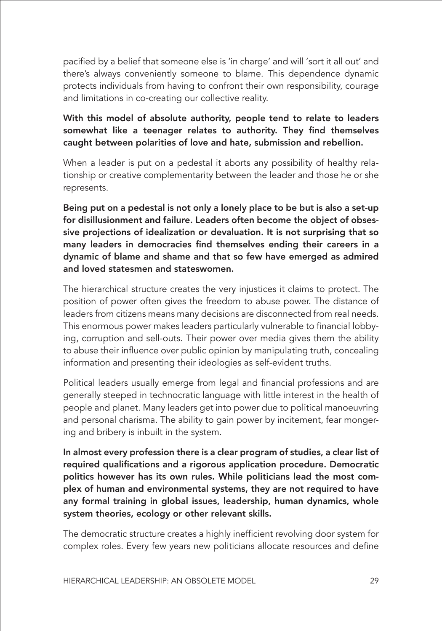pacified by a belief that someone else is 'in charge' and will 'sort it all out' and there's always conveniently someone to blame. This dependence dynamic protects individuals from having to confront their own responsibility, courage and limitations in co-creating our collective reality.

#### With this model of absolute authority, people tend to relate to leaders somewhat like a teenager relates to authority. They find themselves caught between polarities of love and hate, submission and rebellion.

When a leader is put on a pedestal it aborts any possibility of healthy relationship or creative complementarity between the leader and those he or she represents.

Being put on a pedestal is not only a lonely place to be but is also a set-up for disillusionment and failure. Leaders often become the object of obsessive projections of idealization or devaluation. It is not surprising that so many leaders in democracies find themselves ending their careers in a dynamic of blame and shame and that so few have emerged as admired and loved statesmen and stateswomen.

The hierarchical structure creates the very injustices it claims to protect. The position of power often gives the freedom to abuse power. The distance of leaders from citizens means many decisions are disconnected from real needs. This enormous power makes leaders particularly vulnerable to financial lobbying, corruption and sell-outs. Their power over media gives them the ability to abuse their influence over public opinion by manipulating truth, concealing information and presenting their ideologies as self-evident truths.

Political leaders usually emerge from legal and financial professions and are generally steeped in technocratic language with little interest in the health of people and planet. Many leaders get into power due to political manoeuvring and personal charisma. The ability to gain power by incitement, fear mongering and bribery is inbuilt in the system.

In almost every profession there is a clear program of studies, a clear list of required qualifications and a rigorous application procedure. Democratic politics however has its own rules. While politicians lead the most complex of human and environmental systems, they are not required to have any formal training in global issues, leadership, human dynamics, whole system theories, ecology or other relevant skills.

The democratic structure creates a highly inefficient revolving door system for complex roles. Every few years new politicians allocate resources and define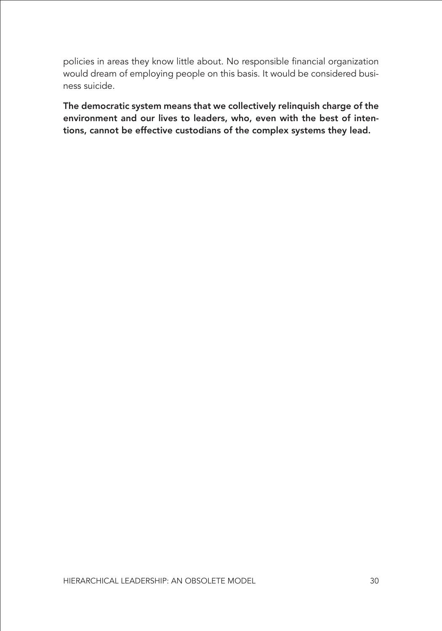policies in areas they know little about. No responsible financial organization would dream of employing people on this basis. It would be considered business suicide.

The democratic system means that we collectively relinquish charge of the environment and our lives to leaders, who, even with the best of intentions, cannot be effective custodians of the complex systems they lead.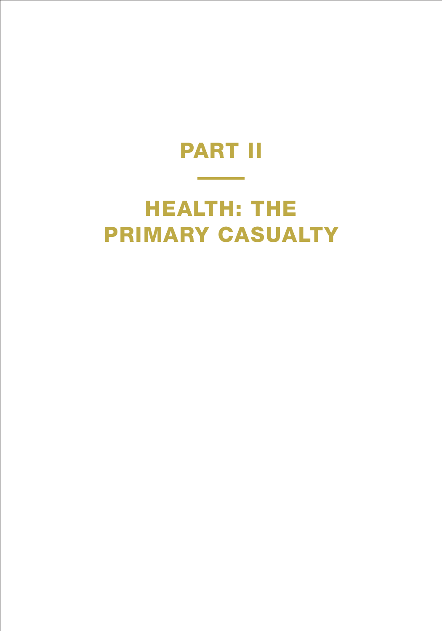# PART II

# <span id="page-37-0"></span>HEALTH: THE PRIMARY CASUALTY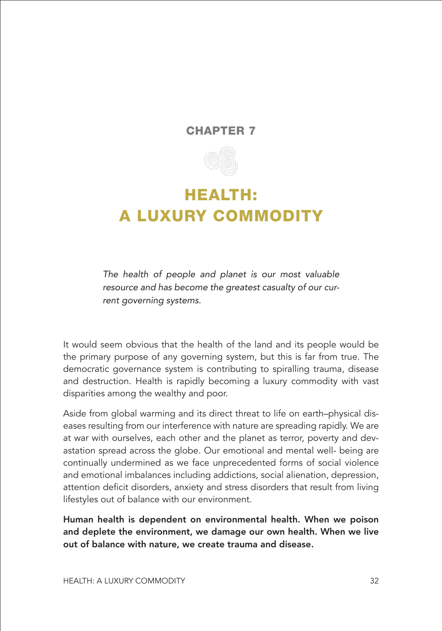#### CHAPTER 7



### <span id="page-38-0"></span>HEALTH: A LUXURY COMMODITY

*The health of people and planet is our most valuable resource and has become the greatest casualty of our current governing systems.*

It would seem obvious that the health of the land and its people would be the primary purpose of any governing system, but this is far from true. The democratic governance system is contributing to spiralling trauma, disease and destruction. Health is rapidly becoming a luxury commodity with vast disparities among the wealthy and poor.

Aside from global warming and its direct threat to life on earth–physical diseases resulting from our interference with nature are spreading rapidly. We are at war with ourselves, each other and the planet as terror, poverty and devastation spread across the globe. Our emotional and mental well- being are continually undermined as we face unprecedented forms of social violence and emotional imbalances including addictions, social alienation, depression, attention deficit disorders, anxiety and stress disorders that result from living lifestyles out of balance with our environment.

Human health is dependent on environmental health. When we poison and deplete the environment, we damage our own health. When we live out of balance with nature, we create trauma and disease.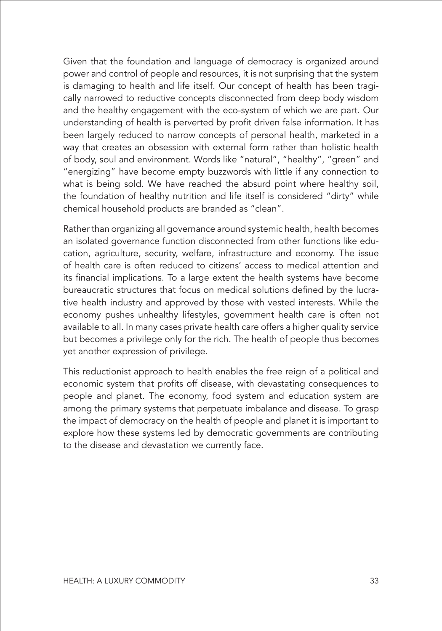Given that the foundation and language of democracy is organized around power and control of people and resources, it is not surprising that the system is damaging to health and life itself. Our concept of health has been tragically narrowed to reductive concepts disconnected from deep body wisdom and the healthy engagement with the eco-system of which we are part. Our understanding of health is perverted by profit driven false information. It has been largely reduced to narrow concepts of personal health, marketed in a way that creates an obsession with external form rather than holistic health of body, soul and environment. Words like "natural", "healthy", "green" and "energizing" have become empty buzzwords with little if any connection to what is being sold. We have reached the absurd point where healthy soil, the foundation of healthy nutrition and life itself is considered "dirty" while chemical household products are branded as "clean".

Rather than organizing all governance around systemic health, health becomes an isolated governance function disconnected from other functions like education, agriculture, security, welfare, infrastructure and economy. The issue of health care is often reduced to citizens' access to medical attention and its financial implications. To a large extent the health systems have become bureaucratic structures that focus on medical solutions defined by the lucrative health industry and approved by those with vested interests. While the economy pushes unhealthy lifestyles, government health care is often not available to all. In many cases private health care offers a higher quality service but becomes a privilege only for the rich. The health of people thus becomes yet another expression of privilege.

This reductionist approach to health enables the free reign of a political and economic system that profits off disease, with devastating consequences to people and planet. The economy, food system and education system are among the primary systems that perpetuate imbalance and disease. To grasp the impact of democracy on the health of people and planet it is important to explore how these systems led by democratic governments are contributing to the disease and devastation we currently face.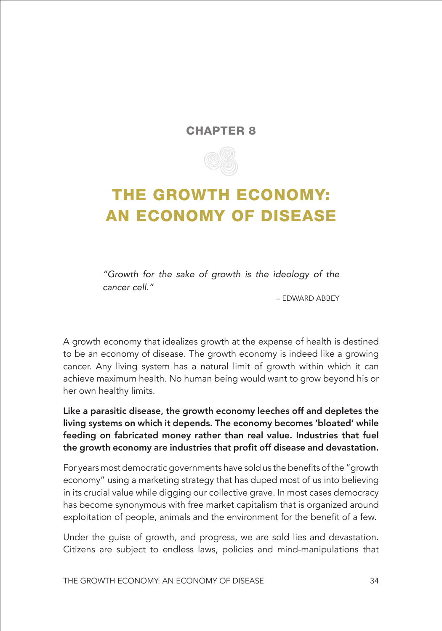#### CHAPTER 8



## <span id="page-40-0"></span>THE GROWTH ECONOMY: AN ECONOMY OF DISEASE

*"Growth for the sake of growth is the ideology of the cancer cell."* 

– EDWARD ABBEY

A growth economy that idealizes growth at the expense of health is destined to be an economy of disease. The growth economy is indeed like a growing cancer. Any living system has a natural limit of growth within which it can achieve maximum health. No human being would want to grow beyond his or her own healthy limits.

Like a parasitic disease, the growth economy leeches off and depletes the living systems on which it depends. The economy becomes 'bloated' while feeding on fabricated money rather than real value. Industries that fuel the growth economy are industries that profit off disease and devastation.

For years most democratic governments have sold us the benefits of the "growth economy" using a marketing strategy that has duped most of us into believing in its crucial value while digging our collective grave. In most cases democracy has become synonymous with free market capitalism that is organized around exploitation of people, animals and the environment for the benefit of a few.

Under the guise of growth, and progress, we are sold lies and devastation. Citizens are subject to endless laws, policies and mind-manipulations that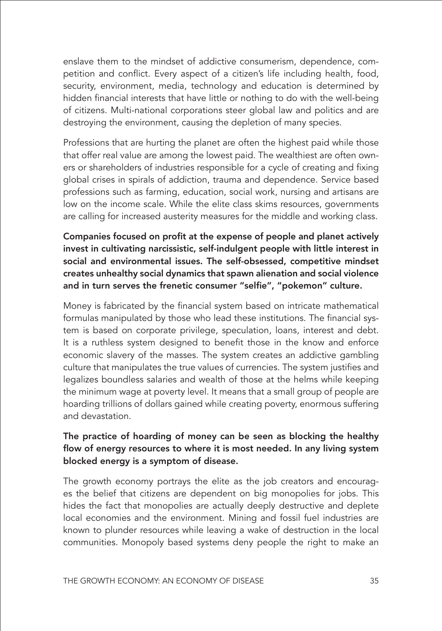enslave them to the mindset of addictive consumerism, dependence, competition and conflict. Every aspect of a citizen's life including health, food, security, environment, media, technology and education is determined by hidden financial interests that have little or nothing to do with the well-being of citizens. Multi-national corporations steer global law and politics and are destroying the environment, causing the depletion of many species.

Professions that are hurting the planet are often the highest paid while those that offer real value are among the lowest paid. The wealthiest are often owners or shareholders of industries responsible for a cycle of creating and fixing global crises in spirals of addiction, trauma and dependence. Service based professions such as farming, education, social work, nursing and artisans are low on the income scale. While the elite class skims resources, governments are calling for increased austerity measures for the middle and working class.

Companies focused on profit at the expense of people and planet actively invest in cultivating narcissistic, self-indulgent people with little interest in social and environmental issues. The self-obsessed, competitive mindset creates unhealthy social dynamics that spawn alienation and social violence and in turn serves the frenetic consumer "selfie", "pokemon" culture.

Money is fabricated by the financial system based on intricate mathematical formulas manipulated by those who lead these institutions. The financial system is based on corporate privilege, speculation, loans, interest and debt. It is a ruthless system designed to benefit those in the know and enforce economic slavery of the masses. The system creates an addictive gambling culture that manipulates the true values of currencies. The system justifies and legalizes boundless salaries and wealth of those at the helms while keeping the minimum wage at poverty level. It means that a small group of people are hoarding trillions of dollars gained while creating poverty, enormous suffering and devastation.

#### The practice of hoarding of money can be seen as blocking the healthy flow of energy resources to where it is most needed. In any living system blocked energy is a symptom of disease.

The growth economy portrays the elite as the job creators and encourages the belief that citizens are dependent on big monopolies for jobs. This hides the fact that monopolies are actually deeply destructive and deplete local economies and the environment. Mining and fossil fuel industries are known to plunder resources while leaving a wake of destruction in the local communities. Monopoly based systems deny people the right to make an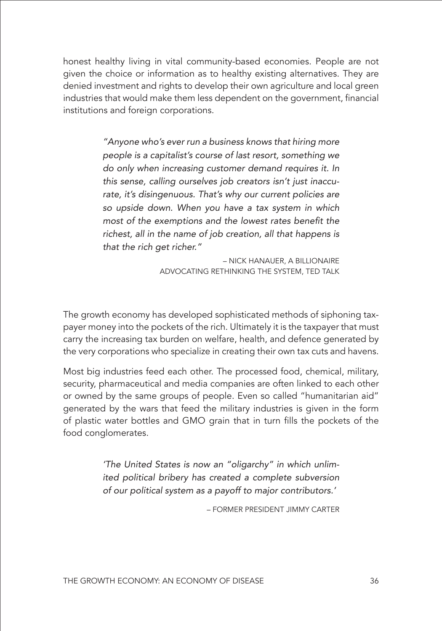honest healthy living in vital community-based economies. People are not given the choice or information as to healthy existing alternatives. They are denied investment and rights to develop their own agriculture and local green industries that would make them less dependent on the government, financial institutions and foreign corporations.

> *"Anyone who's ever run a business knows that hiring more people is a capitalist's course of last resort, something we do only when increasing customer demand requires it. In this sense, calling ourselves job creators isn't just inaccurate, it's disingenuous. That's why our current policies are so upside down. When you have a tax system in which*  most of the exemptions and the lowest rates benefit the *richest, all in the name of job creation, all that happens is that the rich get richer."*

> > – NICK HANAUER, A BILLIONAIRE ADVOCATING RETHINKING THE SYSTEM, TED TALK

The growth economy has developed sophisticated methods of siphoning taxpayer money into the pockets of the rich. Ultimately it is the taxpayer that must carry the increasing tax burden on welfare, health, and defence generated by the very corporations who specialize in creating their own tax cuts and havens.

Most big industries feed each other. The processed food, chemical, military, security, pharmaceutical and media companies are often linked to each other or owned by the same groups of people. Even so called "humanitarian aid" generated by the wars that feed the military industries is given in the form of plastic water bottles and GMO grain that in turn fills the pockets of the food conglomerates.

> *'The United States is now an "oligarchy" in which unlimited political bribery has created a complete subversion of our political system as a payoff to major contributors.'*

> > – FORMER PRESIDENT JIMMY CARTER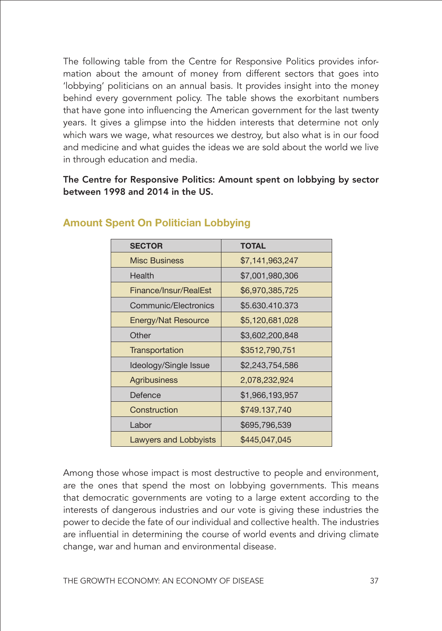The following table from the Centre for Responsive Politics provides information about the amount of money from different sectors that goes into 'lobbying' politicians on an annual basis. It provides insight into the money behind every government policy. The table shows the exorbitant numbers that have gone into influencing the American government for the last twenty years. It gives a glimpse into the hidden interests that determine not only which wars we wage, what resources we destroy, but also what is in our food and medicine and what guides the ideas we are sold about the world we live in through education and media.

The Centre for Responsive Politics: Amount spent on lobbying by sector between 1998 and 2014 in the US.

| <b>SECTOR</b>         | <b>TOTAL</b>    |
|-----------------------|-----------------|
| <b>Misc Business</b>  | \$7,141,963,247 |
| Health                | \$7,001,980,306 |
| Finance/Insur/RealEst | \$6,970,385,725 |
| Communic/Electronics  | \$5.630.410.373 |
| Energy/Nat Resource   | \$5,120,681,028 |
| Other                 | \$3,602,200,848 |
| Transportation        | \$3512,790,751  |
| Ideology/Single Issue | \$2,243,754,586 |
| Agribusiness          | 2,078,232,924   |
| Defence               | \$1,966,193,957 |
| Construction          | \$749.137,740   |
| Labor                 | \$695,796,539   |
| Lawyers and Lobbyists | \$445,047,045   |

#### **Amount Spent On Politician Lobbying**

Among those whose impact is most destructive to people and environment, are the ones that spend the most on lobbying governments. This means that democratic governments are voting to a large extent according to the interests of dangerous industries and our vote is giving these industries the power to decide the fate of our individual and collective health. The industries are influential in determining the course of world events and driving climate change, war and human and environmental disease.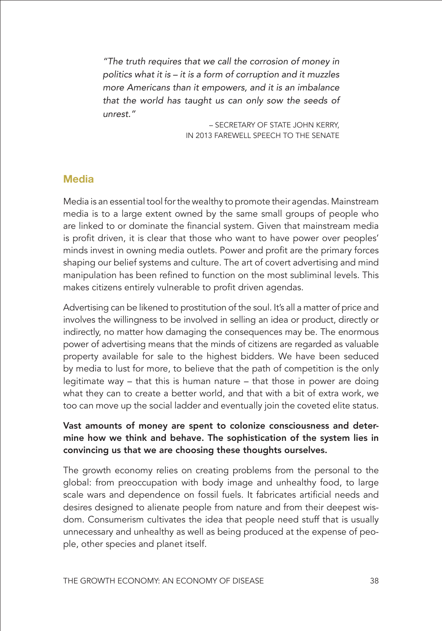*"The truth requires that we call the corrosion of money in politics what it is – it is a form of corruption and it muzzles more Americans than it empowers, and it is an imbalance that the world has taught us can only sow the seeds of unrest."* 

> – SECRETARY OF STATE JOHN KERRY, IN 2013 FAREWELL SPEECH TO THE SENATE

#### **Media**

Media is an essential tool for the wealthy to promote their agendas. Mainstream media is to a large extent owned by the same small groups of people who are linked to or dominate the financial system. Given that mainstream media is profit driven, it is clear that those who want to have power over peoples' minds invest in owning media outlets. Power and profit are the primary forces shaping our belief systems and culture. The art of covert advertising and mind manipulation has been refined to function on the most subliminal levels. This makes citizens entirely vulnerable to profit driven agendas.

Advertising can be likened to prostitution of the soul. It's all a matter of price and involves the willingness to be involved in selling an idea or product, directly or indirectly, no matter how damaging the consequences may be. The enormous power of advertising means that the minds of citizens are regarded as valuable property available for sale to the highest bidders. We have been seduced by media to lust for more, to believe that the path of competition is the only legitimate way – that this is human nature – that those in power are doing what they can to create a better world, and that with a bit of extra work, we too can move up the social ladder and eventually join the coveted elite status.

#### Vast amounts of money are spent to colonize consciousness and determine how we think and behave. The sophistication of the system lies in convincing us that we are choosing these thoughts ourselves.

The growth economy relies on creating problems from the personal to the global: from preoccupation with body image and unhealthy food, to large scale wars and dependence on fossil fuels. It fabricates artificial needs and desires designed to alienate people from nature and from their deepest wisdom. Consumerism cultivates the idea that people need stuff that is usually unnecessary and unhealthy as well as being produced at the expense of people, other species and planet itself.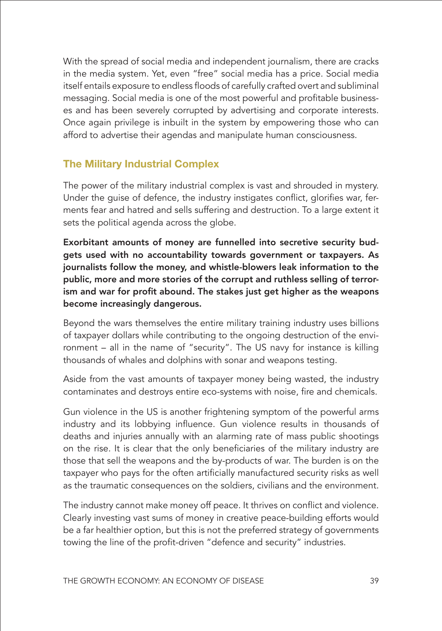With the spread of social media and independent journalism, there are cracks in the media system. Yet, even "free" social media has a price. Social media itself entails exposure to endless floods of carefully crafted overt and subliminal messaging. Social media is one of the most powerful and profitable businesses and has been severely corrupted by advertising and corporate interests. Once again privilege is inbuilt in the system by empowering those who can afford to advertise their agendas and manipulate human consciousness.

#### **The Military Industrial Complex**

The power of the military industrial complex is vast and shrouded in mystery. Under the guise of defence, the industry instigates conflict, glorifies war, ferments fear and hatred and sells suffering and destruction. To a large extent it sets the political agenda across the globe.

Exorbitant amounts of money are funnelled into secretive security budgets used with no accountability towards government or taxpayers. As journalists follow the money, and whistle-blowers leak information to the public, more and more stories of the corrupt and ruthless selling of terrorism and war for profit abound. The stakes just get higher as the weapons become increasingly dangerous.

Beyond the wars themselves the entire military training industry uses billions of taxpayer dollars while contributing to the ongoing destruction of the environment – all in the name of "security". The US navy for instance is killing thousands of whales and dolphins with sonar and weapons testing.

Aside from the vast amounts of taxpayer money being wasted, the industry contaminates and destroys entire eco-systems with noise, fire and chemicals.

Gun violence in the US is another frightening symptom of the powerful arms industry and its lobbying influence. Gun violence results in thousands of deaths and injuries annually with an alarming rate of mass public shootings on the rise. It is clear that the only beneficiaries of the military industry are those that sell the weapons and the by-products of war. The burden is on the taxpayer who pays for the often artificially manufactured security risks as well as the traumatic consequences on the soldiers, civilians and the environment.

The industry cannot make money off peace. It thrives on conflict and violence. Clearly investing vast sums of money in creative peace-building efforts would be a far healthier option, but this is not the preferred strategy of governments towing the line of the profit-driven "defence and security" industries.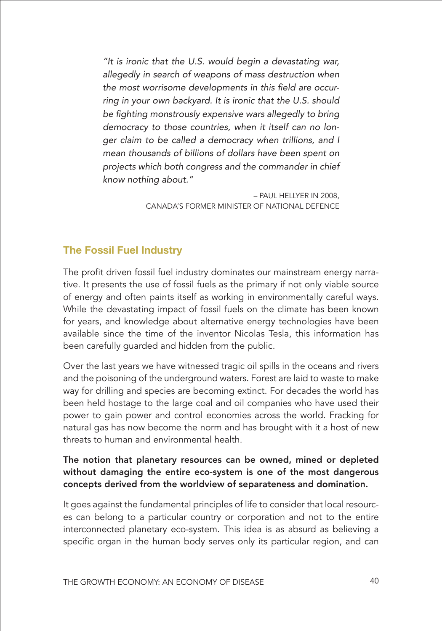*"It is ironic that the U.S. would begin a devastating war, allegedly in search of weapons of mass destruction when*  the most worrisome developments in this field are occur*ring in your own backyard. It is ironic that the U.S. should*  be fighting monstrously expensive wars allegedly to bring *democracy to those countries, when it itself can no longer claim to be called a democracy when trillions, and I mean thousands of billions of dollars have been spent on projects which both congress and the commander in chief know nothing about."* 

> – PAUL HELLYER IN 2008, CANADA'S FORMER MINISTER OF NATIONAL DEFENCE

#### **The Fossil Fuel Industry**

The profit driven fossil fuel industry dominates our mainstream energy narrative. It presents the use of fossil fuels as the primary if not only viable source of energy and often paints itself as working in environmentally careful ways. While the devastating impact of fossil fuels on the climate has been known for years, and knowledge about alternative energy technologies have been available since the time of the inventor Nicolas Tesla, this information has been carefully guarded and hidden from the public.

Over the last years we have witnessed tragic oil spills in the oceans and rivers and the poisoning of the underground waters. Forest are laid to waste to make way for drilling and species are becoming extinct. For decades the world has been held hostage to the large coal and oil companies who have used their power to gain power and control economies across the world. Fracking for natural gas has now become the norm and has brought with it a host of new threats to human and environmental health.

#### The notion that planetary resources can be owned, mined or depleted without damaging the entire eco-system is one of the most dangerous concepts derived from the worldview of separateness and domination.

It goes against the fundamental principles of life to consider that local resources can belong to a particular country or corporation and not to the entire interconnected planetary eco-system. This idea is as absurd as believing a specific organ in the human body serves only its particular region, and can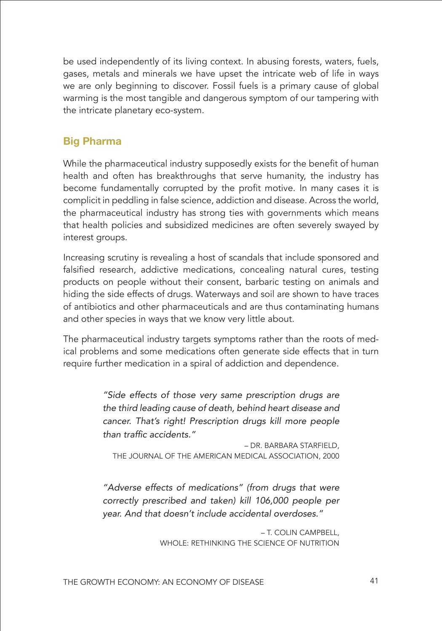be used independently of its living context. In abusing forests, waters, fuels, gases, metals and minerals we have upset the intricate web of life in ways we are only beginning to discover. Fossil fuels is a primary cause of global warming is the most tangible and dangerous symptom of our tampering with the intricate planetary eco-system.

#### **Big Pharma**

While the pharmaceutical industry supposedly exists for the benefit of human health and often has breakthroughs that serve humanity, the industry has become fundamentally corrupted by the profit motive. In many cases it is complicit in peddling in false science, addiction and disease. Across the world, the pharmaceutical industry has strong ties with governments which means that health policies and subsidized medicines are often severely swayed by interest groups.

Increasing scrutiny is revealing a host of scandals that include sponsored and falsified research, addictive medications, concealing natural cures, testing products on people without their consent, barbaric testing on animals and hiding the side effects of drugs. Waterways and soil are shown to have traces of antibiotics and other pharmaceuticals and are thus contaminating humans and other species in ways that we know very little about.

The pharmaceutical industry targets symptoms rather than the roots of medical problems and some medications often generate side effects that in turn require further medication in a spiral of addiction and dependence.

> *"Side effects of those very same prescription drugs are the third leading cause of death, behind heart disease and cancer. That's right! Prescription drugs kill more people*  than traffic accidents."

– DR. BARBARA STARFIELD, THE JOURNAL OF THE AMERICAN MEDICAL ASSOCIATION, 2000

*"Adverse effects of medications" (from drugs that were correctly prescribed and taken) kill 106,000 people per year. And that doesn't include accidental overdoses."* 

> – T. COLIN CAMPBELL, WHOLE: RETHINKING THE SCIENCE OF NUTRITION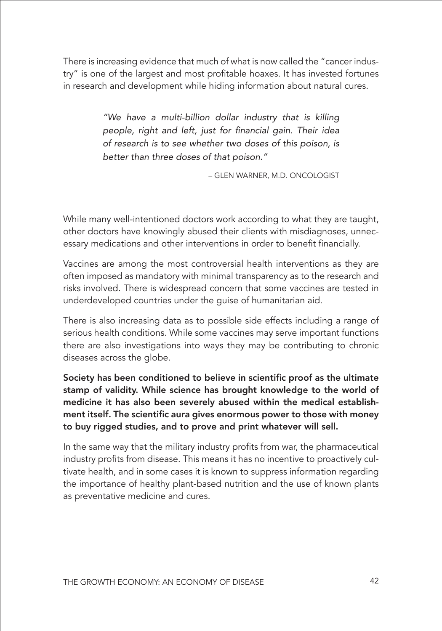There is increasing evidence that much of what is now called the "cancer industry" is one of the largest and most profitable hoaxes. It has invested fortunes in research and development while hiding information about natural cures.

> *"We have a multi-billion dollar industry that is killing*  people, right and left, just for financial gain. Their idea *of research is to see whether two doses of this poison, is better than three doses of that poison."*

> > – GLEN WARNER, M.D. ONCOLOGIST

While many well-intentioned doctors work according to what they are taught, other doctors have knowingly abused their clients with misdiagnoses, unnecessary medications and other interventions in order to benefit financially.

Vaccines are among the most controversial health interventions as they are often imposed as mandatory with minimal transparency as to the research and risks involved. There is widespread concern that some vaccines are tested in underdeveloped countries under the guise of humanitarian aid.

There is also increasing data as to possible side effects including a range of serious health conditions. While some vaccines may serve important functions there are also investigations into ways they may be contributing to chronic diseases across the globe.

Society has been conditioned to believe in scientific proof as the ultimate stamp of validity. While science has brought knowledge to the world of medicine it has also been severely abused within the medical establishment itself. The scientific aura gives enormous power to those with money to buy rigged studies, and to prove and print whatever will sell.

In the same way that the military industry profits from war, the pharmaceutical industry profits from disease. This means it has no incentive to proactively cultivate health, and in some cases it is known to suppress information regarding the importance of healthy plant-based nutrition and the use of known plants as preventative medicine and cures.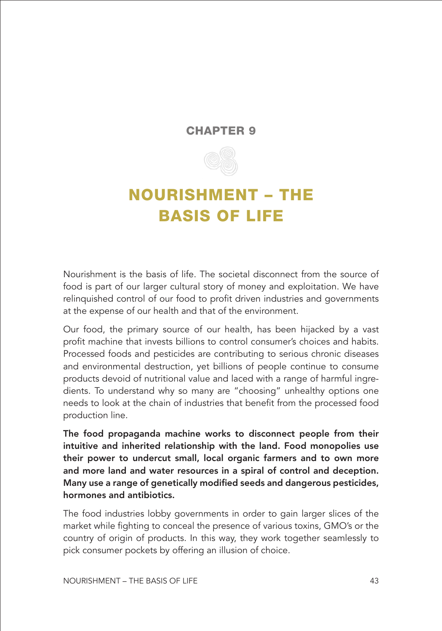#### <span id="page-49-0"></span>CHAPTER 9



## NOURISHMENT – THE BASIS OF LIFE

Nourishment is the basis of life. The societal disconnect from the source of food is part of our larger cultural story of money and exploitation. We have relinquished control of our food to profit driven industries and governments at the expense of our health and that of the environment.

Our food, the primary source of our health, has been hijacked by a vast profit machine that invests billions to control consumer's choices and habits. Processed foods and pesticides are contributing to serious chronic diseases and environmental destruction, yet billions of people continue to consume products devoid of nutritional value and laced with a range of harmful ingredients. To understand why so many are "choosing" unhealthy options one needs to look at the chain of industries that benefit from the processed food production line.

The food propaganda machine works to disconnect people from their intuitive and inherited relationship with the land. Food monopolies use their power to undercut small, local organic farmers and to own more and more land and water resources in a spiral of control and deception. Many use a range of genetically modified seeds and dangerous pesticides, hormones and antibiotics.

The food industries lobby governments in order to gain larger slices of the market while fighting to conceal the presence of various toxins, GMO's or the country of origin of products. In this way, they work together seamlessly to pick consumer pockets by offering an illusion of choice.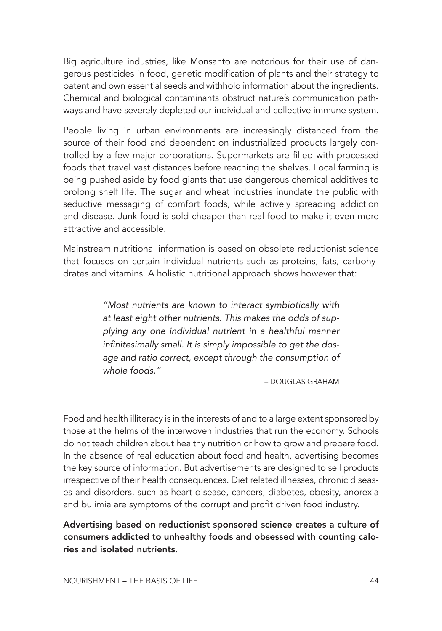Big agriculture industries, like Monsanto are notorious for their use of dangerous pesticides in food, genetic modification of plants and their strategy to patent and own essential seeds and withhold information about the ingredients. Chemical and biological contaminants obstruct nature's communication pathways and have severely depleted our individual and collective immune system.

People living in urban environments are increasingly distanced from the source of their food and dependent on industrialized products largely controlled by a few major corporations. Supermarkets are filled with processed foods that travel vast distances before reaching the shelves. Local farming is being pushed aside by food giants that use dangerous chemical additives to prolong shelf life. The sugar and wheat industries inundate the public with seductive messaging of comfort foods, while actively spreading addiction and disease. Junk food is sold cheaper than real food to make it even more attractive and accessible.

Mainstream nutritional information is based on obsolete reductionist science that focuses on certain individual nutrients such as proteins, fats, carbohydrates and vitamins. A holistic nutritional approach shows however that:

> *"Most nutrients are known to interact symbiotically with at least eight other nutrients. This makes the odds of supplying any one individual nutrient in a healthful manner*  infinitesimally small. It is simply impossible to get the dos*age and ratio correct, except through the consumption of whole foods."*

> > – DOUGLAS GRAHAM

Food and health illiteracy is in the interests of and to a large extent sponsored by those at the helms of the interwoven industries that run the economy. Schools do not teach children about healthy nutrition or how to grow and prepare food. In the absence of real education about food and health, advertising becomes the key source of information. But advertisements are designed to sell products irrespective of their health consequences. Diet related illnesses, chronic diseases and disorders, such as heart disease, cancers, diabetes, obesity, anorexia and bulimia are symptoms of the corrupt and profit driven food industry.

Advertising based on reductionist sponsored science creates a culture of consumers addicted to unhealthy foods and obsessed with counting calories and isolated nutrients.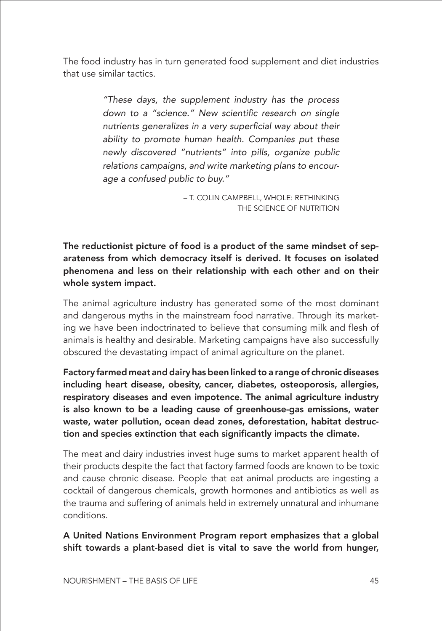The food industry has in turn generated food supplement and diet industries that use similar tactics.

> *"These days, the supplement industry has the process*  down to a "science." New scientific research on single nutrients generalizes in a very superficial way about their *ability to promote human health. Companies put these newly discovered "nutrients" into pills, organize public relations campaigns, and write marketing plans to encourage a confused public to buy."*

> > – T. COLIN CAMPBELL, WHOLE: RETHINKING THE SCIENCE OF NUTRITION

The reductionist picture of food is a product of the same mindset of separateness from which democracy itself is derived. It focuses on isolated phenomena and less on their relationship with each other and on their whole system impact.

The animal agriculture industry has generated some of the most dominant and dangerous myths in the mainstream food narrative. Through its marketing we have been indoctrinated to believe that consuming milk and flesh of animals is healthy and desirable. Marketing campaigns have also successfully obscured the devastating impact of animal agriculture on the planet.

Factory farmed meat and dairy has been linked to a range of chronic diseases including heart disease, obesity, cancer, diabetes, osteoporosis, allergies, respiratory diseases and even impotence. The animal agriculture industry is also known to be a leading cause of greenhouse-gas emissions, water waste, water pollution, ocean dead zones, deforestation, habitat destruction and species extinction that each significantly impacts the climate.

The meat and dairy industries invest huge sums to market apparent health of their products despite the fact that factory farmed foods are known to be toxic and cause chronic disease. People that eat animal products are ingesting a cocktail of dangerous chemicals, growth hormones and antibiotics as well as the trauma and suffering of animals held in extremely unnatural and inhumane conditions.

A United Nations Environment Program report emphasizes that a global shift towards a plant-based diet is vital to save the world from hunger,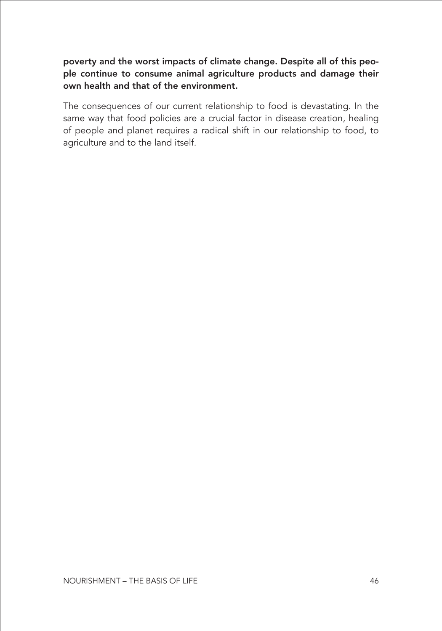#### poverty and the worst impacts of climate change. Despite all of this people continue to consume animal agriculture products and damage their own health and that of the environment.

The consequences of our current relationship to food is devastating. In the same way that food policies are a crucial factor in disease creation, healing of people and planet requires a radical shift in our relationship to food, to agriculture and to the land itself.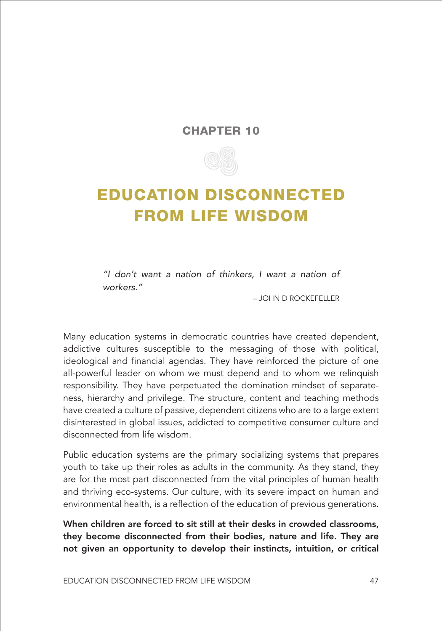#### CHAPTER 10



### <span id="page-53-0"></span>EDUCATION DISCONNECTED FROM LIFE WISDOM

*"I don't want a nation of thinkers, I want a nation of workers."* 

– JOHN D ROCKEFELLER

Many education systems in democratic countries have created dependent, addictive cultures susceptible to the messaging of those with political, ideological and financial agendas. They have reinforced the picture of one all-powerful leader on whom we must depend and to whom we relinquish responsibility. They have perpetuated the domination mindset of separateness, hierarchy and privilege. The structure, content and teaching methods have created a culture of passive, dependent citizens who are to a large extent disinterested in global issues, addicted to competitive consumer culture and disconnected from life wisdom.

Public education systems are the primary socializing systems that prepares youth to take up their roles as adults in the community. As they stand, they are for the most part disconnected from the vital principles of human health and thriving eco-systems. Our culture, with its severe impact on human and environmental health, is a reflection of the education of previous generations.

When children are forced to sit still at their desks in crowded classrooms, they become disconnected from their bodies, nature and life. They are not given an opportunity to develop their instincts, intuition, or critical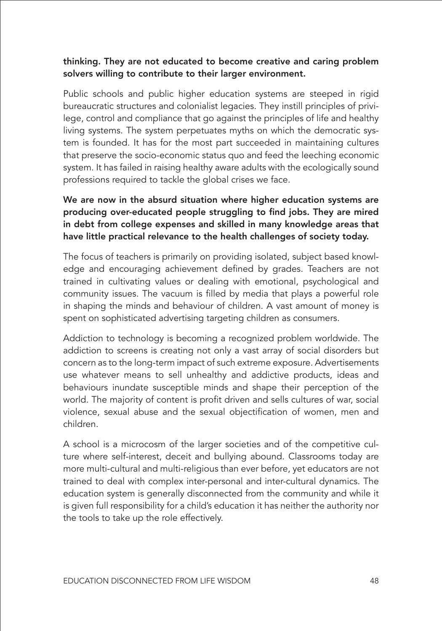#### thinking. They are not educated to become creative and caring problem solvers willing to contribute to their larger environment.

Public schools and public higher education systems are steeped in rigid bureaucratic structures and colonialist legacies. They instill principles of privilege, control and compliance that go against the principles of life and healthy living systems. The system perpetuates myths on which the democratic system is founded. It has for the most part succeeded in maintaining cultures that preserve the socio-economic status quo and feed the leeching economic system. It has failed in raising healthy aware adults with the ecologically sound professions required to tackle the global crises we face.

#### We are now in the absurd situation where higher education systems are producing over-educated people struggling to find jobs. They are mired in debt from college expenses and skilled in many knowledge areas that have little practical relevance to the health challenges of society today.

The focus of teachers is primarily on providing isolated, subject based knowledge and encouraging achievement defined by grades. Teachers are not trained in cultivating values or dealing with emotional, psychological and community issues. The vacuum is filled by media that plays a powerful role in shaping the minds and behaviour of children. A vast amount of money is spent on sophisticated advertising targeting children as consumers.

Addiction to technology is becoming a recognized problem worldwide. The addiction to screens is creating not only a vast array of social disorders but concern as to the long-term impact of such extreme exposure. Advertisements use whatever means to sell unhealthy and addictive products, ideas and behaviours inundate susceptible minds and shape their perception of the world. The majority of content is profit driven and sells cultures of war, social violence, sexual abuse and the sexual objectification of women, men and children.

A school is a microcosm of the larger societies and of the competitive culture where self-interest, deceit and bullying abound. Classrooms today are more multi-cultural and multi-religious than ever before, yet educators are not trained to deal with complex inter-personal and inter-cultural dynamics. The education system is generally disconnected from the community and while it is given full responsibility for a child's education it has neither the authority nor the tools to take up the role effectively.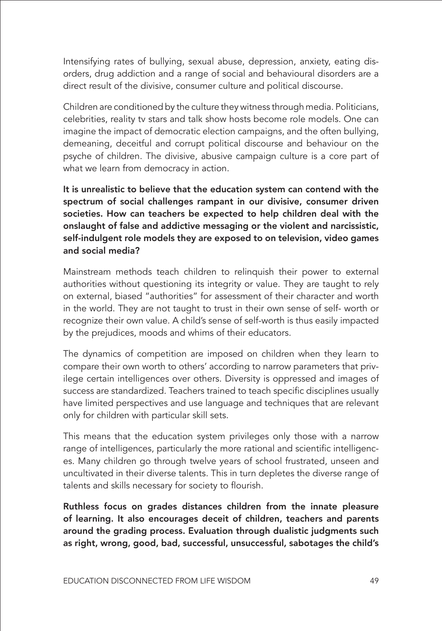Intensifying rates of bullying, sexual abuse, depression, anxiety, eating disorders, drug addiction and a range of social and behavioural disorders are a direct result of the divisive, consumer culture and political discourse.

Children are conditioned by the culture they witness through media. Politicians, celebrities, reality tv stars and talk show hosts become role models. One can imagine the impact of democratic election campaigns, and the often bullying, demeaning, deceitful and corrupt political discourse and behaviour on the psyche of children. The divisive, abusive campaign culture is a core part of what we learn from democracy in action.

It is unrealistic to believe that the education system can contend with the spectrum of social challenges rampant in our divisive, consumer driven societies. How can teachers be expected to help children deal with the onslaught of false and addictive messaging or the violent and narcissistic, self-indulgent role models they are exposed to on television, video games and social media?

Mainstream methods teach children to relinquish their power to external authorities without questioning its integrity or value. They are taught to rely on external, biased "authorities" for assessment of their character and worth in the world. They are not taught to trust in their own sense of self- worth or recognize their own value. A child's sense of self-worth is thus easily impacted by the prejudices, moods and whims of their educators.

The dynamics of competition are imposed on children when they learn to compare their own worth to others' according to narrow parameters that privilege certain intelligences over others. Diversity is oppressed and images of success are standardized. Teachers trained to teach specific disciplines usually have limited perspectives and use language and techniques that are relevant only for children with particular skill sets.

This means that the education system privileges only those with a narrow range of intelligences, particularly the more rational and scientific intelligences. Many children go through twelve years of school frustrated, unseen and uncultivated in their diverse talents. This in turn depletes the diverse range of talents and skills necessary for society to flourish.

Ruthless focus on grades distances children from the innate pleasure of learning. It also encourages deceit of children, teachers and parents around the grading process. Evaluation through dualistic judgments such as right, wrong, good, bad, successful, unsuccessful, sabotages the child's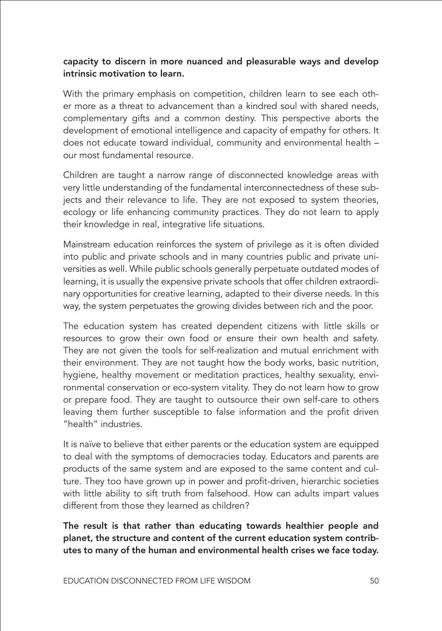#### capacity to discern in more nuanced and pleasurable ways and develop intrinsic motivation to learn.

With the primary emphasis on competition, children learn to see each other more as a threat to advancement than a kindred soul with shared needs, complementary gifts and a common destiny. This perspective aborts the development of emotional intelligence and capacity of empathy for others. It does not educate toward individual, community and environmental health – our most fundamental resource.

Children are taught a narrow range of disconnected knowledge areas with very little understanding of the fundamental interconnectedness of these subjects and their relevance to life. They are not exposed to system theories, ecology or life enhancing community practices. They do not learn to apply their knowledge in real, integrative life situations.

Mainstream education reinforces the system of privilege as it is often divided into public and private schools and in many countries public and private universities as well. While public schools generally perpetuate outdated modes of learning, it is usually the expensive private schools that offer children extraordinary opportunities for creative learning, adapted to their diverse needs. In this way, the system perpetuates the growing divides between rich and the poor.

The education system has created dependent citizens with little skills or resources to grow their own food or ensure their own health and safety. They are not given the tools for self-realization and mutual enrichment with their environment. They are not taught how the body works, basic nutrition, hygiene, healthy movement or meditation practices, healthy sexuality, environmental conservation or eco-system vitality. They do not learn how to grow or prepare food. They are taught to outsource their own self-care to others leaving them further susceptible to false information and the profit driven "health" industries.

It is naïve to believe that either parents or the education system are equipped to deal with the symptoms of democracies today. Educators and parents are products of the same system and are exposed to the same content and culture. They too have grown up in power and profit-driven, hierarchic societies with little ability to sift truth from falsehood. How can adults impart values different from those they learned as children?

The result is that rather than educating towards healthier people and planet, the structure and content of the current education system contributes to many of the human and environmental health crises we face today.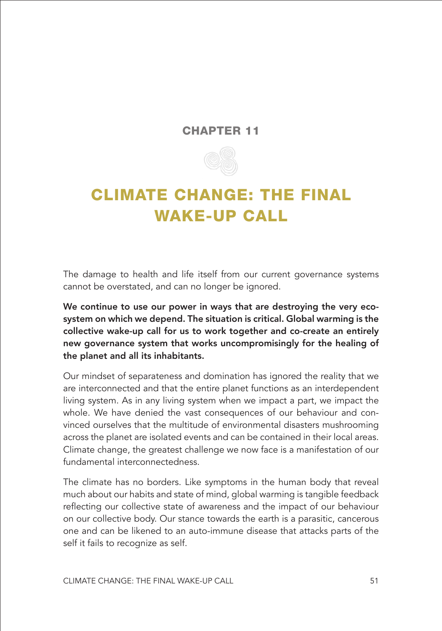#### CHAPTER 11



## <span id="page-57-0"></span>CLIMATE CHANGE: THE FINAL WAKE-UP CALL

The damage to health and life itself from our current governance systems cannot be overstated, and can no longer be ignored.

We continue to use our power in ways that are destroying the very ecosystem on which we depend. The situation is critical. Global warming is the collective wake-up call for us to work together and co-create an entirely new governance system that works uncompromisingly for the healing of the planet and all its inhabitants.

Our mindset of separateness and domination has ignored the reality that we are interconnected and that the entire planet functions as an interdependent living system. As in any living system when we impact a part, we impact the whole. We have denied the vast consequences of our behaviour and convinced ourselves that the multitude of environmental disasters mushrooming across the planet are isolated events and can be contained in their local areas. Climate change, the greatest challenge we now face is a manifestation of our fundamental interconnectedness.

The climate has no borders. Like symptoms in the human body that reveal much about our habits and state of mind, global warming is tangible feedback reflecting our collective state of awareness and the impact of our behaviour on our collective body. Our stance towards the earth is a parasitic, cancerous one and can be likened to an auto-immune disease that attacks parts of the self it fails to recognize as self.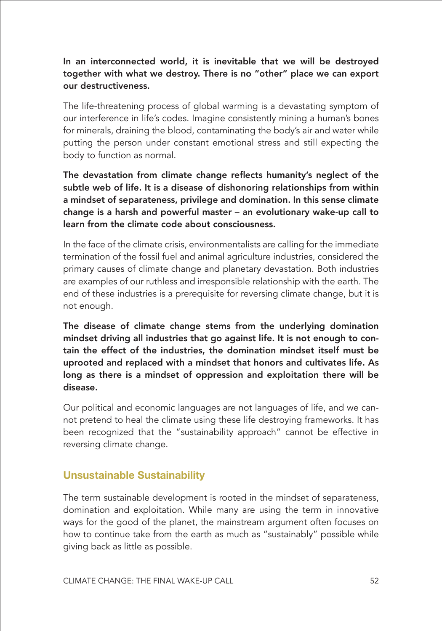#### In an interconnected world, it is inevitable that we will be destroyed together with what we destroy. There is no "other" place we can export our destructiveness.

The life-threatening process of global warming is a devastating symptom of our interference in life's codes. Imagine consistently mining a human's bones for minerals, draining the blood, contaminating the body's air and water while putting the person under constant emotional stress and still expecting the body to function as normal.

The devastation from climate change reflects humanity's neglect of the subtle web of life. It is a disease of dishonoring relationships from within a mindset of separateness, privilege and domination. In this sense climate change is a harsh and powerful master – an evolutionary wake-up call to learn from the climate code about consciousness.

In the face of the climate crisis, environmentalists are calling for the immediate termination of the fossil fuel and animal agriculture industries, considered the primary causes of climate change and planetary devastation. Both industries are examples of our ruthless and irresponsible relationship with the earth. The end of these industries is a prerequisite for reversing climate change, but it is not enough.

The disease of climate change stems from the underlying domination mindset driving all industries that go against life. It is not enough to contain the effect of the industries, the domination mindset itself must be uprooted and replaced with a mindset that honors and cultivates life. As long as there is a mindset of oppression and exploitation there will be disease.

Our political and economic languages are not languages of life, and we cannot pretend to heal the climate using these life destroying frameworks. It has been recognized that the "sustainability approach" cannot be effective in reversing climate change.

#### **Unsustainable Sustainability**

The term sustainable development is rooted in the mindset of separateness, domination and exploitation. While many are using the term in innovative ways for the good of the planet, the mainstream argument often focuses on how to continue take from the earth as much as "sustainably" possible while giving back as little as possible.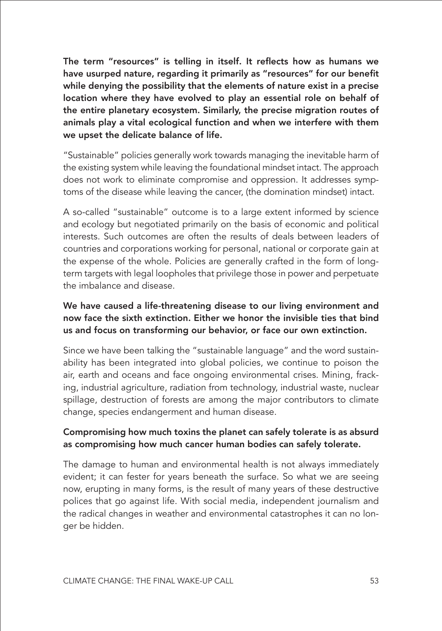The term "resources" is telling in itself. It reflects how as humans we have usurped nature, regarding it primarily as "resources" for our benefit while denying the possibility that the elements of nature exist in a precise location where they have evolved to play an essential role on behalf of the entire planetary ecosystem. Similarly, the precise migration routes of animals play a vital ecological function and when we interfere with them we upset the delicate balance of life.

"Sustainable" policies generally work towards managing the inevitable harm of the existing system while leaving the foundational mindset intact. The approach does not work to eliminate compromise and oppression. It addresses symptoms of the disease while leaving the cancer, (the domination mindset) intact.

A so-called "sustainable" outcome is to a large extent informed by science and ecology but negotiated primarily on the basis of economic and political interests. Such outcomes are often the results of deals between leaders of countries and corporations working for personal, national or corporate gain at the expense of the whole. Policies are generally crafted in the form of longterm targets with legal loopholes that privilege those in power and perpetuate the imbalance and disease.

#### We have caused a life-threatening disease to our living environment and now face the sixth extinction. Either we honor the invisible ties that bind us and focus on transforming our behavior, or face our own extinction.

Since we have been talking the "sustainable language" and the word sustainability has been integrated into global policies, we continue to poison the air, earth and oceans and face ongoing environmental crises. Mining, fracking, industrial agriculture, radiation from technology, industrial waste, nuclear spillage, destruction of forests are among the major contributors to climate change, species endangerment and human disease.

#### Compromising how much toxins the planet can safely tolerate is as absurd as compromising how much cancer human bodies can safely tolerate.

The damage to human and environmental health is not always immediately evident; it can fester for years beneath the surface. So what we are seeing now, erupting in many forms, is the result of many years of these destructive polices that go against life. With social media, independent journalism and the radical changes in weather and environmental catastrophes it can no longer be hidden.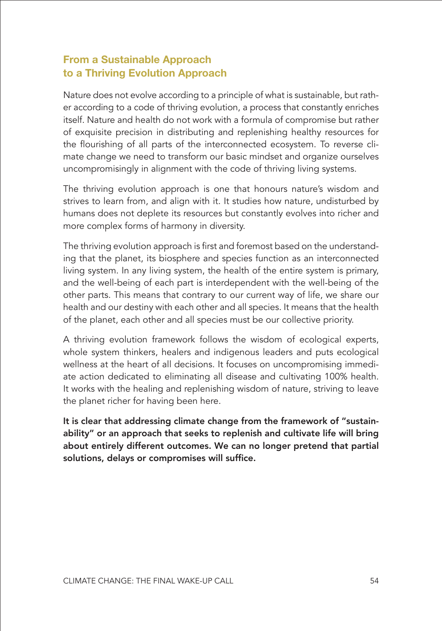#### **From a Sustainable Approach to a Thriving Evolution Approach**

Nature does not evolve according to a principle of what is sustainable, but rather according to a code of thriving evolution, a process that constantly enriches itself. Nature and health do not work with a formula of compromise but rather of exquisite precision in distributing and replenishing healthy resources for the flourishing of all parts of the interconnected ecosystem. To reverse climate change we need to transform our basic mindset and organize ourselves uncompromisingly in alignment with the code of thriving living systems.

The thriving evolution approach is one that honours nature's wisdom and strives to learn from, and align with it. It studies how nature, undisturbed by humans does not deplete its resources but constantly evolves into richer and more complex forms of harmony in diversity.

The thriving evolution approach is first and foremost based on the understanding that the planet, its biosphere and species function as an interconnected living system. In any living system, the health of the entire system is primary, and the well-being of each part is interdependent with the well-being of the other parts. This means that contrary to our current way of life, we share our health and our destiny with each other and all species. It means that the health of the planet, each other and all species must be our collective priority.

A thriving evolution framework follows the wisdom of ecological experts, whole system thinkers, healers and indigenous leaders and puts ecological wellness at the heart of all decisions. It focuses on uncompromising immediate action dedicated to eliminating all disease and cultivating 100% health. It works with the healing and replenishing wisdom of nature, striving to leave the planet richer for having been here.

It is clear that addressing climate change from the framework of "sustainability" or an approach that seeks to replenish and cultivate life will bring about entirely different outcomes. We can no longer pretend that partial solutions, delays or compromises will suffice.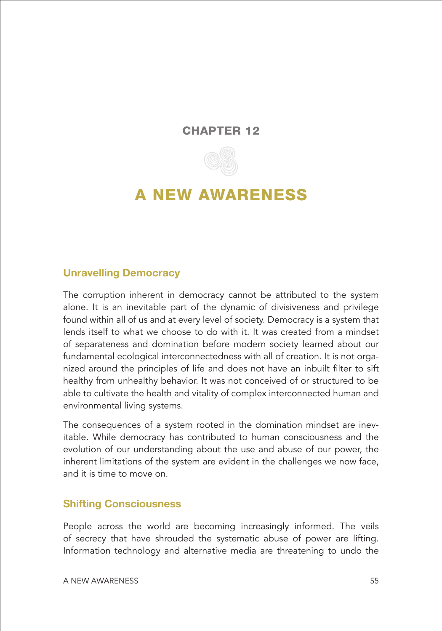#### <span id="page-61-0"></span>CHAPTER 12



### A NEW AWARENESS

#### **Unravelling Democracy**

The corruption inherent in democracy cannot be attributed to the system alone. It is an inevitable part of the dynamic of divisiveness and privilege found within all of us and at every level of society. Democracy is a system that lends itself to what we choose to do with it. It was created from a mindset of separateness and domination before modern society learned about our fundamental ecological interconnectedness with all of creation. It is not organized around the principles of life and does not have an inbuilt filter to sift healthy from unhealthy behavior. It was not conceived of or structured to be able to cultivate the health and vitality of complex interconnected human and environmental living systems.

The consequences of a system rooted in the domination mindset are inevitable. While democracy has contributed to human consciousness and the evolution of our understanding about the use and abuse of our power, the inherent limitations of the system are evident in the challenges we now face, and it is time to move on.

#### **Shifting Consciousness**

People across the world are becoming increasingly informed. The veils of secrecy that have shrouded the systematic abuse of power are lifting. Information technology and alternative media are threatening to undo the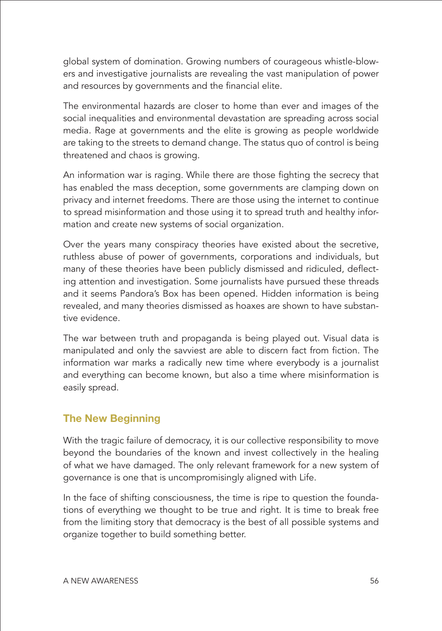global system of domination. Growing numbers of courageous whistle-blowers and investigative journalists are revealing the vast manipulation of power and resources by governments and the financial elite.

The environmental hazards are closer to home than ever and images of the social inequalities and environmental devastation are spreading across social media. Rage at governments and the elite is growing as people worldwide are taking to the streets to demand change. The status quo of control is being threatened and chaos is growing.

An information war is raging. While there are those fighting the secrecy that has enabled the mass deception, some governments are clamping down on privacy and internet freedoms. There are those using the internet to continue to spread misinformation and those using it to spread truth and healthy information and create new systems of social organization.

Over the years many conspiracy theories have existed about the secretive, ruthless abuse of power of governments, corporations and individuals, but many of these theories have been publicly dismissed and ridiculed, deflecting attention and investigation. Some journalists have pursued these threads and it seems Pandora's Box has been opened. Hidden information is being revealed, and many theories dismissed as hoaxes are shown to have substantive evidence.

The war between truth and propaganda is being played out. Visual data is manipulated and only the savviest are able to discern fact from fiction. The information war marks a radically new time where everybody is a journalist and everything can become known, but also a time where misinformation is easily spread.

#### **The New Beginning**

With the tragic failure of democracy, it is our collective responsibility to move beyond the boundaries of the known and invest collectively in the healing of what we have damaged. The only relevant framework for a new system of governance is one that is uncompromisingly aligned with Life.

In the face of shifting consciousness, the time is ripe to question the foundations of everything we thought to be true and right. It is time to break free from the limiting story that democracy is the best of all possible systems and organize together to build something better.